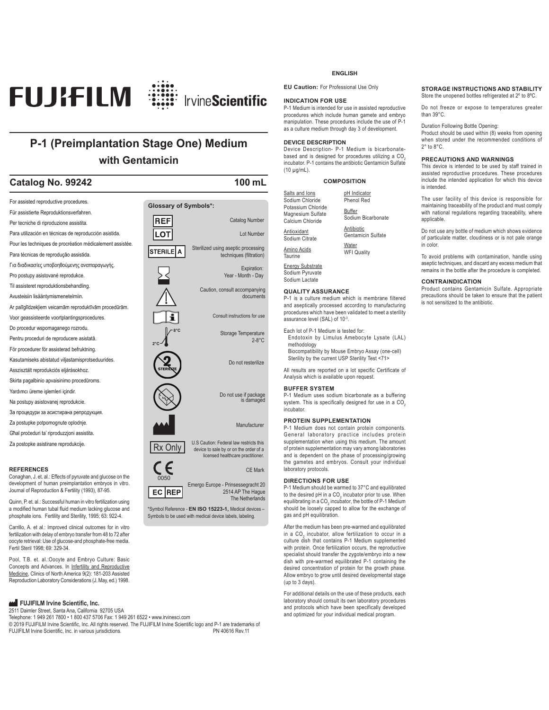

### **P-1 (Preimplantation Stage One) Medium with Gentamicin**

### **Catalog No. 99242 100 mL**



development of human preimplantation embryos in vitro. Journal of Reproduction & Fertility (1993), 87-95.

Quinn, P. et. al.: Successful human in vitro fertilization using a modified human tubal fluid medium lacking glucose and phosphate ions. Fertility and Sterility, 1995; 63: 922-4.

Carrillo, A. et al.: Improved clinical outcomes for in vitro fertilization with delay of embryo transfer from 48 to 72 after oocyte retrieval: Use of glucose-and phosphate-free media. Fertil Steril 1998; 69: 329-34.

Pool, T.B. et. al.:Oocyte and Embryo Culture: Basic Concepts and Advances. In <u>Infertility and Reproductive</u><br>Medicine, Clinics of North America 9(2): 181-203 Assisted Reproduction Laboratory Considerations (J. May, ed.) 1998.

### **FUJIFILM Irvine Scientific, Inc.**

2511 Daimler Street, Santa Ana, California 92705 USA

Telephone: 1 949 261 7800 • 1 800 437 5706 Fax: 1 949 261 6522 • www.irvinesci.com

© 2019 FUJIFILM Irvine Scientific, Inc. All rights reserved. The FUJIFILM Irvine Scientific logo and P-1 are trademarks of<br>FUJIFILM Irvine Scientific. Inc. in various iurisdictions. FUJIFILM Irvine Scientific, Inc. in various jurisdictions.

### **ENGLISH**

**EU Caution:** For Professional Use Only

### **INDICATION FOR USE**

P-1 Medium is intended for use in assisted reproductive procedures which include human gamete and embryo manipulation. These procedures include the use of P-1 as a culture medium through day 3 of development.

### **DEVICE DESCRIPTION**

Device Description- P-1 Medium is bicarbonatebased and is designed for procedures utilizing a CO<sub>2</sub> incubator. P-1 contains the antibiotic Gentamicin Sulfate (10 μg/mL).

### **COMPOSITION**

Salts and Ions Sodium Chloride Potassium Chloride Magnesium Sulfate pH Indicator Phenol Red

Buffer Sodium Bicarbonate Antibiotic

Gentamicin Sulfate

**Water** WFI Quality

### Energy Substrate Sodium Pyruvate

Sodium Lactate

Calcium Chloride Antioxidant Sodium Citrate Amino Acids Taurine

### **QUALITY ASSURANCE**

P-1 is a culture medium which is membrane filtered and aseptically processed according to manufacturing procedures which have been validated to meet a sterility assurance level (SAL) of 10-3.

Each lot of P-1 Medium is tested for:

Endotoxin by Limulus Amebocyte Lysate (LAL) methodology

Biocompatibility by Mouse Embryo Assay (one-cell) Sterility by the current USP Sterility Test <71>

All results are reported on a lot specific Certificate of Analysis which is available upon request.

### **BUFFER SYSTEM**

P-1 Medium uses sodium bicarbonate as a buffering system. This is specifically designed for use in a  $CO$ <sub>2</sub> incubator.

### **PROTEIN SUPPLEMENTATION**

P-1 Medium does not contain protein components. General laboratory practice includes protein supplementation when using this medium. The amount of protein supplementation may vary among laboratories and is dependent on the phase of processing/growing the gametes and embryos. Consult your individual laboratory protocols.

### **DIRECTIONS FOR USE**

The Netherlands

\*Symbol Reference - **EN ISO 15223-1,** Medical devices – Symbols to be used with medical device labels, labeling.

P-1 Medium should be warmed to 37°C and equilibrated to the desired pH in a CO<sub>2</sub> incubator prior to use. When equilibrating in a CO<sub>2</sub> incubator, the bottle of P-1 Medium should be loosely capped to allow for the exchange of gas and pH equilibration.

After the medium has been pre-warmed and equilibrated in a CO<sub>2</sub> incubator, allow fertilization to occur in a culture dish that contains P-1 Medium supplemented with protein. Once fertilization occurs, the reproductive specialist should transfer the zygote/embryo into a new dish with pre-warmed equilibrated P-1 containing the desired concentration of protein for the growth phase. Allow embryo to grow until desired developmental stage (up to 3 days).

For additional details on the use of these products, each laboratory should consult its own laboratory procedures and protocols which have been specifically developed and optimized for your individual medical program.

### **STORAGE INSTRUCTIONS AND STABILITY** Store the unopened bottles refrigerated at 2º to 8ºC.

Do not freeze or expose to temperatures greater than 39°C.

Duration Following Bottle Opening:

Product should be used within (8) weeks from opening when stored under the recommended conditions of 2° to 8°C.

### **PRECAUTIONS AND WARNINGS**

This device is intended to be used by staff trained in assisted reproductive procedures. These procedures include the intended application for which this device is intended.

The user facility of this device is responsible for maintaining traceability of the product and must comply with national regulations regarding traceability, where applicable.

Do not use any bottle of medium which shows evidence of particulate matter, cloudiness or is not pale orange in color.

To avoid problems with contamination, handle using aseptic techniques, and discard any excess medium that remains in the bottle after the procedure is completed.

### **CONTRAINDICATION**

Product contains Gentamicin Sulfate. Appropriate precautions should be taken to ensure that the patient is not sensitized to the antibiotic.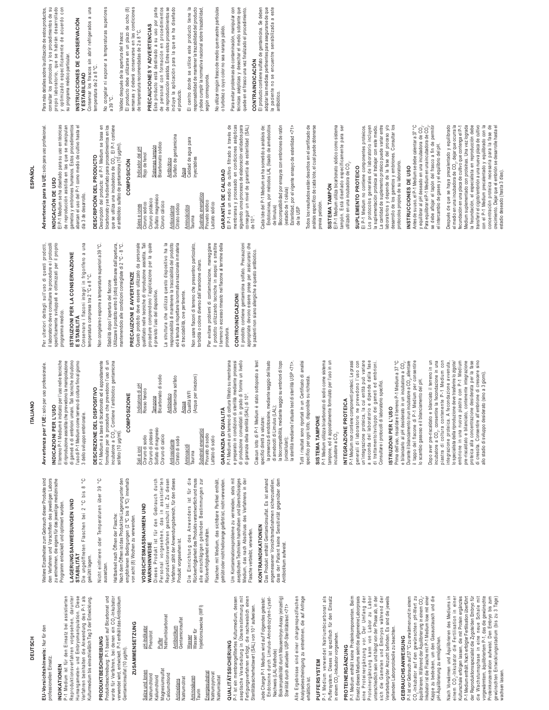EU-Vorsichtshinweis: Nur für den **EU-Vorsichtshinweis:** Nur für den **DEUTSCH DEUTSCH**

professionellen Einsatz. professionellen Einsatz.

### **INDIKATIONEN INDIKATIONEN**

P-1 Medium ist für den Einsatz bei assistierten Reproduktionsverfahren vorgesehen, darunter<br>Humangameten- und Embryomanipulation. Diese<br>Verfahren beinhalten die Anwendung des P-1 als Reproduktionsverfahren vorgesehen, darunter Humangameten- und Embryomanipulation. Diese Verfahren beinhalten die Anwendung des P-1 als P-1 Medium ist für den Einsatz bei assistierten Aulturmedium bis einschließlich Tag 3 der Entwicklung. Kulturmedium bis einschließlich Tag 3 der Entwicklung.

**PRODUKTBESCHREIBUNG**

PRODUKTBESCHREIBUNG

Produktbeschreibung: P-1 basiert auf Bicarbonat und wurde für Verfahren, bei denen ein CO<sub>2</sub>-Inkubator verwendet wird, entwickelt. P-1 enthält das Antibiotikum

Produktbeschreibung: P-1 basiert auf Bicarbonat und<br>wurde für Verfahren, bei denen ein CO<sub>2</sub>-Inkubator

verwendet wird, entwickelt. P-1 enthält das Äntibiotikum

Gentamicinsulfat (10 μg/ml).

Gentamicinsulfat (10 µg/ml).

**ZUSAMMENSETZUNG**

**ZUSAMMENSETZUNG** 

Salze und Ionen Natriumchlorid Kaliumchlorid Magnesiumsulfat **Calciumchlorid** Antioxidans Natriumcitrat Aminosäuren Taurin **Energiesubstrat** Natriumpyrovat Natriumlactat

pH-Indikator p.H-Indikator<br>Phenolrot Puffer<br>Natriumbicarbonat Natriumbicarbonat Antibiotikum Gentamicinsulfat Wasser<br>Wasser für Wasser für Injektionszwecke (WFI)

Nach dem Öffnen ist das Produkt bei Lagerung unter den<br>empfohlenen Bedingungen (2 °C bis 8 °C) innerhalb Nach dem Öffnen ist das Produkt bei Lagerung unter den empfohlenen Bedingungen (2 ºC bis 8 ºC) innerhalb Haltbarkeit nach Öffnen der Flasche: Haltbarkeit nach Öffnen der Flasche:

solfato (10 μg/ml).

**COMPOSIZIONE**

COMPOSIZIONE

Indicatore di pH Rosso fenolo Tampone<br>Bicarbonato di sodio Bicarbonato di sodio Antibiotico<br>Gentamicina solfato Gentamicina solfato Acqua<br>Qualità WFI Qualità WFI (Acqua per iniezioni)

Indicatore di pH<br>Rosso fenolo

# **VORSICHTSMASSNAHMEN UND**

**WARNHINWEISE**

Die Einrichtung des Anwenders ist für die<br>Rückverfolgbarkeitdes Produktsverantwortlichundmuss Die Einrichtung des Anwenders ist für die Rückverfolgbarkeit des Produkts verantwortlich und muss alle einschlägigen geltenden Bestimmungen zur

getrübt oder nicht hellorange gefärbt ist, nicht verwenden. getrübt oder nicht hellorange gefärbt ist, nicht verwenden.

**QUALITÄTSSICHERUNG**

QUALITÄTSSICHERUNG

P-1 ist ein membrangefiltertes Kulturmedium, dessen aseptische Verarbeitung in Übereinstimmung mit Fertigungsverfahren erfolgt, die nachweislich einen Sterilitätssicherheitswert (SAL) von 10-3 aufweisen. Jede Charge P-1 Medium wird auf Folgendes getestet: Endotoxine durch Limulus-Amoebozyten-Lysat-

P-1 ist ein membrangefiltertes Kulturrnedium, dessen<br>aseptische Verarbeitung in Übereinstimmung mit<br>Sterilitätssicherheitswert (SAL) von 10° aufweisen.<br>Sterilitätssicherheitswert (SAL) von 10° aufweisen.

Um Kontaminationsprobleme zu vermeiden, stets mit sseptischen Techniken handhaben und überschüssiges<br>Medium, das nach Abschluss des Verfahrens in der aseptischen Techniken handhaben und überschüssiges Medium, das nach Abschluss des Verfahrens in der Um Kontaminationsprobleme zu vermeiden, stets mit Flasche verbleibt, verwerfen. Flasche verbleibt, verwerfen.

### KONTRAINDIKATIONEN **KONTRAINDIKATIONEN**

Das Produkt enthält Gentamicinsulfat. Es ist anhand angemessener Vorsichtsmaßnahmen sicherzustellen, dass der Patient keine Sensitivität gegenüber dem Das Produkt enthält Gentamicinsulfat. Es ist anhand angemessener Vorsichtsmaßnahmen sicherzustellen, dass der Patient keine Sensitivität gegenüber dem<br>Antibiotikum aufweist. Antibiotikum aufweist.

Nachweis (LAL-Methode)

Biokompatibilität durch Mausembryo-Assay (einzellig) Sterilität durch aktuellen USP-Sterilitätstest <71> Alle Ergebnisse sind einer chargenspezifischen Analysebescheinigung zu entnehmen, die auf Anfrage

Sterilität durch aktuellen USP-Sterilitätstest <71>

Alle Ergebnisse sind einer chargenspezifischen Analysebescheinigung zu entnehmen, die auf Anfrage<br>erhältlich ist.

Nachweis (LAL-Methode)<br>Biokompatibilität durch Mausembryo-Assay (einzellig)

Endotoxine durch Limulus-Amoebozyten-Lysat-

Jede Charge P-1 Medium wird auf Folgendes getestet:

erhältlich ist. **PUFFERSYSTEM**

PUFFERSYSTEM

P-1 Medium verwendet Natriumbicarbonat als Puffersystem. Dieses ist spezifisch für den Einsatz

P-1 Medium verwendet Natriumbicarbonat als<br>Puffersystem. Dieses ist spezifisch für den Einsatz

in einem CO<sub>2</sub>-Inkubator vorgesehen. **PROTEINERGÄNZUNG**

PROTEINERGÄNZUNG

in einem CO<sub>2</sub>-Inkubator vorgesehen.

P-1 Medium enthält keine Proteinkomponenten. Beim Einsatz dieses Mediums sieht die allgemeine Laborpraxis eine Proteinergänzung vor. Der Umfang der Proteinergänzung kann von Labor zu Labor unterschiedlich sein und hängt von der Phase ab, in der sich die Gameten und Embryos während der Verarbeitung/der Anzucht befinden. Es sind die jeweils geltenden Laborprotokolle zu beachten. **GEBRAUCHSANWEISUNG**

P-1 Medium enthält keine Proteinkomponenten. Beim<br>Einsatz dieses Mediums sieht die allgemeine Laborpraxis

eine Proteinergänzung vor. Der Umfang der<br>Proteinergänzung kann von Labor zu Labor

P-1 ist vor Gebrauch auf 37 °C zu erwärmen und in einem CO<sub>2</sub>-Inkubator auf den gewünschten pH-Wert zu<br>äquilibrieren. Während der Äquilibrierung in einem CO<sub>2</sub>-

P-1 ist vor Gebrauch auf 37 °C zu erwärmen und in einem CO<sub>3</sub>-Inkubator auf den gewünschten pH-Wert zu Kappe zu bedecken, um den Gasaustausch und die Vach Vorwärmen und Äquilibrieren des Mediums in

**GEBRAUCHSANWEISUNG** 

unterschiedlich sein und hängt von der Phase ab, in der<br>sich die Gameten und Embryos während der<br>Verarbeitung/der Anzucht befinden. Es sind die jeweils

geltenden Läborprotokolle zu beachten.

-

Inkubator ist die Flasche mit P-1 Medium lose mit einer Kappe zu bedecken, um den Gasaustausch und die

pH-Äquilibrierung zu ermöglichen.

pH-Aquilibrierung zu ermöglichen.

Nach Vorwärmen und Äquilibrieren des Mediums in einem CO2-Inkubator die Fertilisation in einer Kulturschale erfolgen lassen, die mit Protein ergänztes P-1 Medium enthält. Nach erfolgter Fertilisation überführt der Reproduktionsspezialist die Zygote/den Embryo für die Wachstumsphase in eine neue Schale mit vorgewärmtem, äquilibriertem P-1, das die gewünschte Proteinkonzentration aufweist. Den Embryo bis zum gewünschten Entwicklungsstadium (bis zu 3 Tage)

einem CO<sub>2</sub>-Inkubator die Fertilisation in einer<br>Kulturschale erfolgen lassen, die mit Protein ergänztes

P-1 Medium enthält. Nach erfolgter Fertilisation überführt

wachsen lassen.

vachsen lassen.

der Reproduktionsspezialist die Zygoteklen Embryo für<br>die Wachtstumsphase in eine neue Schale mit<br>vorgewämten, äquilibrietent P., das die gewinszuhe<br>vorgewämten, äquilibrietent P., das die gewinszuhe<br>gewünschten Entwicklun

Weitere Einzelheiten zum Gebrauch dieser Produkte sind Weitere Einzelheiten zum Gebrauch dieser Produkte sind den Verfahren und Vorschriften des jeweiligen Labors den Verfahren und Vorschriften des jeweiligen Labors zu entnehmen, die eigens für das jeweilige medizinische<br>Programm entwickelt und optimiert wurden. zu entnehmen, die eigens für das jeweilige medizinische

## LAGERUNGSANWEISUNGEN UND **LAGERUNGSANWEISUNGEN UND**

Programm entwickelt und optimiert wurden.

## STABILITÄT **STABILITÄT**

Die ungeöffneten Flaschen bei 2 °C bis 8 °C Die ungeöffneten Flaschen bei 2 °C bis 8 jekühlt lagern. gekühlt lagern.

Nicht einfrieren oder Temperaturen über 39 °C Nicht einfrieren oder Temperaturen über 39 aussetzen. aussetzen.

von acht (8) Wochen zu verwenden. von acht (8) Wochen zu verwenden.

# **VORSICHTSMASSNAHMEN UND<br>WARNHINVEISE**

Sali e ioni<br>Cloruro di sodio<br>Cloruro di potassio<br>Solfato di magnesio Cloruro di sodio Cloruro di potassio Solfato di magnesio Cloruro di calcio Antiossidante Citrato di sodio Aminoacidi Aminoacidi<br>Taurina Substrati energetici Piruvato di sodio Lattato di sodio

Cloruro di calcio Citrato di sodio

Antiossidante

Personal vorgesehen, das in assistierten<br>Reproduktionsverfahren geschult ist. Zu diesen Verfahren zählt der Anwendungsbereich, für den dieses<br>Produkt vorgesehen ist. Dieses Produkt ist für den Gebrauch durch Personal vorgesehen, das in assistierten Reproduktionsverfahren geschult ist. Zu diesen Verfahren zählt der Anwendungsbereich, für den dieses Dieses Produkt ist für den Gebrauch durch Produkt vorgesehen ist.

alle einschlägigen geltenden Bestimmungen zur<br>Rückverfolgbarkeit einhalten. Rückverfolgbarkeit einhalten.

Injektionszwecke (WFI)

Energiesubstrat Natriumpyroval

Vatriumlactat

Gentamicinsulfat

Antibiotikum

Antioxidans Aminosäuren

Vatriumcitrat

Magnesiumsulfat<br>Calciumchlorid Salze und lonen<br>Natriumchlorid<br>Kaliumchlorid

Flaschen mit Medium, das sichtbare Partikel enthält, Flaschen mit Medium, das sichtbare Partikel enthält,

**GARANZIA DI QUALITÀ**

GARANZIA DI QUALITÀ

e preparato in condizioni di sterilità mediante processi<br>di produzione convalidati in grado di fornire un livello<br>di garanzia della sterilità (SAL) di 10<sup>3</sup>. Ciascun lotto di P-1 Medium è stato sottoposto a test<br>specifici diretti a valutare: P-1 Medium è un terreno di coltura filtrato su membrana e preparato in condizioni di sterilità mediante processi di produzione convalidati in grado di fornire un livello P-1 Medium è un terreno di coltura filtrato su membrana di garanzia della sterilità (SAL) di 10-3.

Ciascun lotto di P-1 Medium è stato sottoposto a test

specifici diretti a valutare:

la presenza di endotossine, mediante saggio del lisato

la presenza di endotossine, mediante saggio del lisato

di amebociti di Limulus (LAL);

la biocompatibilità, mediante saggio su embrioni di topo

di amebociti di Limulus (LAL);<br>la biocompatibilità, mediante saggio su embrioni di topo

la sterilità mediante l'attuale test di sterilità USP <71>. Tutti i risultati sono riportati in un Certificato di analisi specifico per ogni lotto, disponibile su richiesta.

la sterilità mediante l'attuale test di sterilità USP <71>. Tutti i risultati sono riportati in un Certificato di analisi

**SISTEMA TAMPONE**

**SISTEMATAMPONE** 

specifico per ogni lotto, disponibile su richiesta.

P-1 Medium utilizza bicarbonato di sodio come sistema tampone, ed è appositamente formulato per l'uso in un

P-1 Medium utilizza bicarbonato di sodio come sistema tampone, ed è appositamente formulato per l'uso in un

incubatore a CO<sub>2</sub>.

incubatore a CO<sub>2</sub>

**INTEGRAZIONE PROTEICA**

INTEGRAZIONE PROTEICA

P-1 Medium non contiene componenti proteici. Le prassi generali di laboratorio ne prevedono l'uso con un'integrazione proteica, la cui entità può variare a seconda del laboratorio e dipende dalla fase di trattamento/sviluppo dei gameti ed embrioni. Consultare i protocolli di laboratorio specifici. **ISTRUZIONI PER L'USO**

P-1 Medium non contiene componenti proteici. Le prassi<br>generali di laboratorio ne prevedono l'uso con<br>un'integrazione proteica, la cui entità può variare

a seconda del laboratorio e dipende dalla fase di trattamento/sviluppo dei gameti ed embrioni.

Consultare i protocolli di laboratorio specifici.

Prima dell'uso, riscaldare il terreno P-1 Medium a 37 °C e bilanciarlo al pH desiderato in un incubatore a CO<sub>2</sub>. Durante il bilanciamento in un incubatore a CO<sub>2</sub>, allentare il tappo del flacone di P-1 Medium per consentire lo scambio gassoso e il bilanciamento del pH. Dopo aver pre-riscaldato e bilanciato il terreno in un incubatore a  $\mathbb{CO}_{2}$ , consentire la fecondazione in una piastra di coltura contenente P-1 Medium con integrazione proteica. A fecondazione avvenuta, lo specialista della riproduzione deve trasferire lo zigote/ embrione in una nuova piastra con P-1 Medium pre-riscaldato e bilanciato, contenente integrazione proteica alla concentrazione desiderata per la fase di crescita. Consentire all'embrione di crescere sino allo stadio di sviluppo desiderato (sino a 3 giorni).

e bilanciarlo al pH desiderato in un incubatore a CO<sub>2</sub>

Dopo aver pre-riscaldato e bilanciato il terreno in un incubatore a CO<sub>2</sub>, consentire la fecondazione in una<br>piastra di coltura contenente P-1 Medium con lo specialista della riproduzione deve trasferire lo zigote/ embrione in una nuova piastra con P-1 Medium pre-riscaldato e bilanciato, contenente integrazione

lo scambio gassoso e il bilanciamento del pH.

integrazione proteica. A fecondazione avvenuta,

proteica alla concentrazione desiderata per la fase di crescita. Consentire all'embrione di crescere sino

allo stadio di sviluppo desiderato (sino a 3 giorni).

Prima dell'uso, riscaldare il terreno P-1 Medium a 37 °C Durante il bilanciamento in un incubatore a CO<sub>2</sub>, allentare<br>il tappo del flacone di P-1 Medium per consentire

ISTRUZIONI PER L'USO

(unicellulari);

(unicellulari);

## Avvertenza per l'UE: solo per uso professionale. **Avvertenza per l'UE:** solo per uso professionale.

**ITALIANO**

**ITALIANO** 

### INDICAZIONI PER L'USO **INDICAZIONI PER L'USO**

II terreno P-1 Medium è indicato per l'uso nelle tecniche di riproduzione assistita che prevedono la manipolazione di gameti e di embrioni umani. Tali tecniche includono l'uso di P-1 Medium come terreno di coltura fino al giorno<br>3 dello sviluppo embrionale. l'uso di P-1 Medium come terreno di coltura fino al giorno I terreno P-1 Medium è indicato per l'uso nelle tecniche di riproduzione assistita che prevedono la manipolazione di gameti e di embrioni umani. Tali tecniche includono

DESCRIZIONE DEL DISPOSITIVO **DESCRIZIONE DEL DISPOSITIVO**

3 dello sviluppo embrionale.

 $\sum_{\alpha}$ ပ္ပ

P-1 Medium è a base di bicarbonato ed è appositamente P-1 Medium è a base di bicarbonato ed è appositamente

formulato per le procedure che prevedono l'uso di un<br>incubatore a CO<sub>2</sub>, Contiene l'antibiotico gentamicina<br>solfato (10 µg/ml). formulato per le procedure che prevedono l'uso di un

incubatore a CO<sub>2</sub>. Contiene l'antibiotico gentamicina

## PRECAUZIONI E AVVERTENZE **PRECAUZIONI E AVVERTENZE**

Questo prodotto deve essere utilizzato da personale qualificato nelle tecniche di riproduzione assistita. Tali procedure comprendono l'applicazione per la quale Questo prodotto deve essere utilizzato da personale qualificato nelle tecniche di riproduzione assistita. Tali procedure comprendono l'applicazione per la quale

Sales e iones Cloruro sódico Cloruro potásico Sulfato magnésico Cloruro cálcico Antioxidante Citrato sódico Aminoácidos Aminoácidos<br>Taurina Sustrato energético Piruvato sódico Lactato sódico

Sales e iones<br>Cloruro sódico<br>Cloruro potásico<br>Sulfato magnésico<br>Cloruro cálcico

Indicador del pH Rojo de fenol Sistemas tampón Bicarbonato sódico Antibiótico<br>Sulfato de gentamicina Sulfato de gentamicina

Sistemas tampón<br>Bicarbonato sódico Indicador del pH<br>Rojo de fenol

> La struttura che utilizza questo dispositivo ha la<br>responsabilità di mantenere la tracciabilità del prodotto ed è tenuta a rispettare la normativa nazionale in materia

torbidità o colore diverso dall'arancione chiaro. torbidità o colore diverso dall'arancione chiaro.

Acqua per iniezioni)

Substrati energetici<br>Piruvato di sodio

Lattato di sodio

Per evitare problemi di contaminazione, maneggiare<br>il prodotto utilizzando tecniche in asepsi e smaltire Per evitare problemi di contaminazione, maneggiare il prodotto utilizzando tecniche in asepsi e smaltire il terreno in eccesso rimasto nel flacone al termine della I terreno in eccesso rimasto nel flacone al termine della procedura.

**GARANTÍA DE CALIDAD**

GARANTÍA DE CALIDAD

El P-1 es un medio de cultivo filtrado a través de membranas y procesado en condiciones asépticas siguiendo unos procesos de elaboración validados para conseguir un nivel de garantía de esterilidad (SAL) onseguir un nivel de garantía de esterilidad (SAL).<br>de 10<sup>-3</sup>.

El P-1 es un medio de cultivo filtrado a través de

membranas y procesado en condiciones asépticas<br>siguiendo unos procesos de elaboración validados para

### CONTROINDICAZIONI **CONTROINDICAZIONI**

appropriate devono essere prese per assicurarsi che<br>le pazienti non siano allergiche a questo antibiotico. appropriate devono essere prese per assicurarsi che le pazienti non siano allergiche a questo antibiotico.

Per ulteriori dettagli sull'uso di questi prodotti,<br>Ilaboratorio deve consultare le procedure e iprotocolli Per uiteriori dettagli sull'uso di questi prodotti, il laboratorio deve consultare le procedure e i protocolli specificamente sviluppati e ottimizzati per il proprio specificamente sviluppati e ottimizzati per il proprio

## STRUZIONI PER LA CONSERVAZIONE **ISTRUZIONI PER LA CONSERVAZIONE**

Conservare i flaconi integri in frigorifero a una<br>temperatura compresa tra 2 °C e 8 °C. Conservare i flaconi integri in frigorifero a una temperatura compresa tra 2 °C e 8 °C. **E STABILITÀ E STABILITÀ**

día 3 de desarrollo.

ue reprovuccion as sude en las que se inampuan<br>abarcan el uso del P-1 como medio de procedimientos<br>dia 3 de desarrollo.

**DESCRIPCIÓN DEL PRODUCTO**

DESCRIPCIÓN DEL PRODUCTO

Stabilità dopo l'apertura del flacone Stabilità dopo l'apertura del flacone

La struttura che utilizza questo dispositivo ha la responsabilità di mantenere la tracciabilità del prodotto

## Advertencia para la UE: solo para uso profesional. El P-1 Medium se ha diseñado para su uso en técnicas **Advertencia para la UE:** solo para uso profesional. INDICACIÓN DE USO **INDICACIÓN DE USO**

**ESPAÑOL**

## programma medico programma medico.

Non congelare o esporre a temperature superiori a 39 °C. Non congelare o esporre a temperature superiori a 39 °C.

Utilizzare il prodotto entro 8 (otto) settimane dall'apertura, Utilizzare il prodotto entro 8 (otto) settimane dall'apertura, mantenendolo alle condizioni consigliate di 2 °C - 8 °C. mantenendolo alle condizioni consigliate di 2 °C - 8 °C.

el antibiótico sulfato de gentamicina (10 μg/ml). **COMPOSICIÓN**

COMPOSICIÓN

è previsto l'uso del dispositivo. è previsto l'uso del dispositivo.

ed è tenuta a rispettare la normativa nazionale in materia di tracciabilità, ove pertinente. di tracciabilità, ove pertinente.

Citrato sódico Antioxidante

> Non usare flaconi di terreno che presentino particolato, Non usare flaconi di terreno che presentino particolato,

Il prodotto contiene gentamicina solfato. Precauzioni prodotto contiene gentamicina solfato. Precauzioni

consultar los protocolos y los procedimientos de su<br>propio laboratorio, que se habrán desarrollado Para más detalles sobre la utilización de estos productos, consultar los protocolos y los procedimientos de su propio laboratorio, que se habrán desarrollado optimizado específicamente de acuerdo con y optimizado específicamente de acuerdo con Para más detalles sobre la utilización de estos productos su programa médico particular. su programa médico particular.

> El P-1 Medium se ha diseñado para su uso en técnicas de reproducción asistida en las que se manipulan gametos y embriones humanos. Estos procedimientos abarcan el uso del P-1 como medio de cultivo hasta el

de reproducción asistida en las que se

manipulan

**INSTRUCCIONES DE CONSERVACIÓN**  INSTRUCCIONES DE CONSERVACIÓN Y ESTABILIDAD **Y ESTABILIDAD**

Conservar los frascos sin abrir refrigerados a una Conservar los frascos sin abrir refrigerados a una temperatura de 2 a 8 °C. temperatura de 2 a 8 °C.

No congelar ni exponer a temperaturas superiores No congelar ni exponer a temperaturas superiores a 39 °C. Descripción del producto: el P-1 Medium se basa en<br>bicarbonatoy se ha diseñado para procedimientos en los<br>el antibidios sulfato de gentamicina (10 µg/m).<br>el antibidios sulfato de gentamicina (10 µg/m). Descripción del producto: el P-1 Medium se basa en bicarbonato y se ha diseñado para procedimientos en los que se utiliza una incubadora de CO2. El P-1 contiene

Validez después de la apertura del frasco:<br>El producto debe utilizarse en un plazo de ocho (8) El producto debe utilizarse en un plazo de ocho (8) semanas y deberá conservarse en las condiciones semanas y deberá conservarse en las condiciones Validez después de la apertura del frasco:

PRECAUCIONES Y ADVERTENCIAS **PRECAUCIONES Y ADVERTENCIAS** de temperatura recomendadas de 2 a 8 °C. de temperatura recomendadas de 2 a 8 °C.

Este producto está destinado a su uso por parte<br>de personal con formación en procedimientos<br>de reproducción asistida. Entreestos procedimientos se Este producto está destinado a su uso por parte de personal con formación en procedimientos de reproducción asistida. Entre estos procedimientos se

incluye la aplicación para la que se ha diseñado

incluye la aplicación para la que se ha diseñado

el producto.

el producto.

El centro donde se utilice este producto tiene la<br>responsabilidad de mantener la trazabilidad del producto El centro donde se utilice este producto tiene la responsabilidad de mantener la trazabilidad del producto y debe cumplir la normativa nacional sobre trazabilidad, y debe cumplir la normativa nacional sobre trazabilidad según corresponda. según corresponda.

Agua<br>Calidad de<br>inyectables Calidad de agua para

> Sustrato energético Piruvato sódico Lactato sódico

No utilizar ningún frasco de medio que muestre partículas No utilizar ningún frasco de medio que muestre partículas o turbidez o cuyo color no sea naranja pálido. o turbidez o cuyo color no sea naranja pálido.

Para evitar problemas de contaminación, manipular con Para evitar problemas de contaminación, manipular con técnicas asépticas y desechar el medio sobrante que técnicas asépticas y desechar el medio sobrante que quede en el frasco una vez finalizado el procedimiento quede en el frasco una vez finalizado el procedimiento.

### CONTRAINDICACIÓN **CONTRAINDICACIÓN**

El producto contiene sulfato de gentamioina. Se deben<br>adoptar las medidas pertinentes para asegurarse de que<br>la paciente no se encuentre sensibilizada a este El producto contiene sulfato de gentamicina. Se deben adoptar las medidas pertinentes para asegurarse de que la paciente no se encuentre sensibilizada a este antibiótico. antibiótico.Cada lote del P-1 Medium se ha sometido a análisis de: Endotoxinas, por métodos LAL (lisado de amebocitos Endotoxinas, por métodos LAL (lisado de amebocitos de limulus)<br>Biocompatibilidad por ensayos con embriones de ratón Biocompatibilidad por ensayos con embriones de ratón Cada lote del P-1 Medium se ha sometido a análisis de:

(estadio de 1 célula)

(estadio de 1 célula)

de la USP

Esterilidad, por el vigente ensayo de esterilidad <71>

Esterilidad, por el vigente ensayo de esterilidad <71> Todos los resultados están descritos en el certificado de

Todos los resultados están descritos en el certificado de análisis específico de cada lote, el cual puede obtenerse

análisis específico de cada lote, el cual puede obtenerse

previa petición. **SISTEMA TAMPÓN**

previa petición.

SISTEMA TAMPÓN

El P-1 Medium utiliza bicarbonato sódico como sistema tampón. Está diseñado específicamente para ser

El P-1 Medium utiliza bicarbonato sódico como sistema tampón. Está diseñado específicamente para ser

utilizado en una incubadora de CO<sub>2</sub>. **SUPLEMENTO PROTEICO**

utilizado en una incubadora de CO<sub>2</sub>. SUPLEMENTO PROTEICO El P-1 Medium no contiene componentes proteicos. Los protocolos generales de laboratorio incluyen la suplementación proteica al trabajar con este medio.

El P-1 Medium no contiene componentes proteicos.

Los protocolos generales de laboratorio incluyen<br>la suplementación proteica al trabajar con este medio.

La cantidad de suplemento proteico puede variar entre<br>laboratorios y depende de la fase del proceso y/o laboratorios y depende de la fase del proceso y/o<br>desarrollo de los gametos y embriones. Consultar los La cantidad de suplemento proteico puede variar entre laboratorios y depende de la fase del proceso y/o desarrollo de los gametos y embriones. Consultar los Antes de su uso, el P-1 Medium se debe calentar a 37 °C protocolos propios de su laboratorio. protocolos propios de su laboratorio. INSTRUCCIONES DE USO **INSTRUCCIONES DE USO**

Antes de su uso, el P-1 Medium se debe calentar a 37 °C y equilibrar al pH deseado en una incubadora de CO<sub>2</sub>.<br>Para equilibrar el P-1 Medium en una incubadora de CO<sub>3</sub>. y equilibrar al pH deseado en una incubadora de CO<sub>2</sub>. Para equilibrar el P-1 Medium en una incubadora de CO $_{2^{\prime\prime}}$ se debe aflojar el tapón del frasco a fin de permitir se debe aflojar el tapón del frasco a fin de permitir el intercambio de gases y el equilibrio del pH. el intercambio de gases y el equilibrio del pH.

el medio en una incubadora de CO<sub>2</sub>, dejar que ocurra la<br>fecundación en una placa de cultivo que contenga el P-1 transferir el cigoto/embrión a una nueva placa de cultivo con el P-1 Medium precalentado y equilibrado con la<br>concentración proteica necesaria para la fase de Después de que se haya precalentado y equilibrado Después de que se haya precalentado y equilibrado el medio en una incubadora de CO2, dejar que ocurra la fecundación en una placa de cultivo que contenga el P-1 Medium suplementado con proteínas. Una vez lograda Medium suplementado con proteínas. Una vez lograda la fecundación, el especialista en reproducción debe transferir el cigoto/embrión a una nueva placa de cultivo con el P-1 Medium precalentado y equilibrado con la concentración proteica necesaria para la fase de crecimiento. Dejar que el embrión se desarrolle hasta el crecimiento. Dejar que el embrión se desarrolle hasta el la fecundación, el especialista en reproducción debe estadio deseado (hasta 3 días).

estadio deseado (hasta 3 días).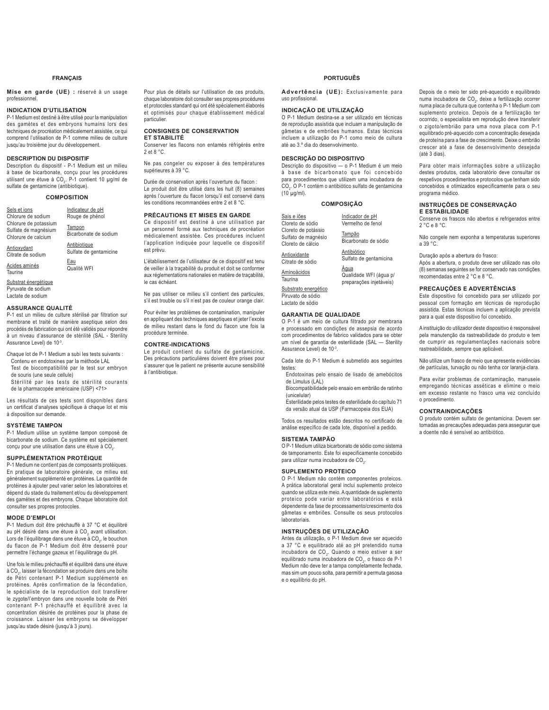### **FRANÇAIS**

**Mise en garde (UE) :** réservé à un usage professionnel.

### **INDICATION D'UTILISATION**

P-1 Medium est destiné à être utilisé pour la manipulation des gamètes et des embryons humains lors des techniques de procréation médicalement assistée, ce qui comprend l'utilisation de P-1 comme milieu de culture jusqu'au troisième jour du développement.

### **DESCRIPTION DU DISPOSITIF**

Description du dispositif - P-1 Medium est un milieu à base de bicarbonate, conçu pour les procédures utilisant une étuve à CO<sub>2</sub>. P-1 contient 10 µg/ml de sulfate de gentamicine (antibiotique).

### **COMPOSITION**

Sels et ions Chlorure de sodium Chlorure de potassium Sulfate de magnésium Chlorure de calcium Indicateur de pH Rouge de phénol **Tampon** Bicarbonate de sodium

**Antibiotique** Sulfate de gentamicine

<u>Eau</u><br>Qualité WFI

Citrate de sodium

Acides aminés **Taurine** 

**Antioxydant** 

Substrat énergétique Pyruvate de sodium Lactate de sodium

### **ASSURANCE QUALITÉ**

P-1 est un milieu de culture stérilisé par filtration sur membrane et traité de manière aseptique selon des procédés de fabrication qui ont été validés pour répondre à un niveau d'assurance de stérilité (SAL - Sterility Assurance Level) de 10-3.

Chaque lot de P-1 Medium a subi les tests suivants : Contenu en endotoxines par la méthode LAL Test de biocompatibilité par le test sur embryon

de souris (une seule cellule)

 Stérilité par les tests de stérilité courants de la pharmacopée américaine (USP) <71>

Les résultats de ces tests sont disponibles dans un certificat d'analyses spécifique à chaque lot et mis à disposition sur demande.

### **SYSTÈME TAMPON**

P-1 Medium utilise un système tampon composé de bicarbonate de sodium. Ce système est spécialement conçu pour une utilisation dans une étuve à CO<sub>2</sub>.

### **SUPPLÉMENTATION PROTÉIQUE**

P-1 Medium ne contient pas de composants protéiques. En pratique de laboratoire générale, ce milieu est généralement supplémenté en protéines. La quantité de protéines à ajouter peut varier selon les laboratoires et dépend du stade du traitement et/ou du développement des gamètes et des embryons. Chaque laboratoire doit consulter ses propres protocoles.

### **MODE D'EMPLOI**

P-1 Medium doit être préchauffé à 37 °C et équilibré au pH désiré dans une étuve à CO<sub>2</sub> avant utilisation. Lors de l'équilibrage dans une étuve à CO<sub>2</sub>, le bouchon du flacon de P-1 Medium doit être desserré pour permettre l'échange gazeux et l'équilibrage du pH

Une fois le milieu préchauffé et équilibré dans une étuve à CO $_{\rm 2}$ , laisser la fécondation se produire dans une boîte de Pétri contenant P-1 Medium supplémenté en protéines. Après confirmation de la fécondation, <sub>.</sub><br>le spécialiste de la reproduction doit transférer le zygote/l'embryon dans une nouvelle boite de Pétri contenant P-1 préchauffé et équilibré avec la concentration désirée de protéines pour la phase de croissance. Laisser les embryons se développer jusqu'au stade désiré (jusqu'à 3 jours).

Pour plus de détails sur l'utilisation de ces produits, chaque laboratoire doit consulter ses propres procédures et protocoles standard qui ont été spécialement élaborés et optimisés pour chaque établissement médical particulier.

### **CONSIGNES DE CONSERVATION ET STABILITÉ**

Conserver les flacons non entamés réfrigérés entre 2 et 8 °C.

Ne pas congeler ou exposer à des températures supérieures à 39 °C.

Durée de conservation après l'ouverture du flacon : Le produit doit être utilisé dans les huit (8) semaines anrès l'ouverture du flacon lorsqu'il est conservé dans les conditions recommandées entre 2 et 8 °C.

### **PRÉCAUTIONS ET MISES EN GARDE**

Ce dispositif est destiné à une utilisation par un personnel formé aux techniques de procréation médicalement assistée. Ces procédures incluent l'application indiquée pour laquelle ce dispositif est prévu.

I 'établissement de l'utilisateur de ce dispositif est tenu de veiller à la traçabilité du produit et doit se conformer aux réglementations nationales en matière de traçabilité, le cas échéant.

Ne pas utiliser ce milieu s'il contient des particules, s'il est trouble ou s'il n'est pas de couleur orange clair.

Pour éviter les problèmes de contamination, manipuler en appliquant des techniques aseptiques et jeter l'excès de milieu restant dans le fond du flacon une fois la procédure terminée.

### **CONTRE-INDICATIONS**

Le produit contient du sulfate de gentamicine. Des précautions particulières doivent être prises pour s'assurer que le patient ne présente aucune sensibilité à l'antibiotique.

### **PORTUGUÊS**

**Advertência (UE):** Exclusivamente para uso profissional.

### **INDICAÇÃO DE UTILIZAÇÃO**

O P-1 Medium destina-se a ser utilizado em técnicas de reprodução assistida que incluam a manipulação de gâmetas e de embriões humanos. Estas técnicas incluem a utilização do P-1 como meio de cultura até ao 3.º dia do desenvolvimento.

### **DESCRIÇÃO DO DISPOSITIVO**

Descrição do dispositivo — o P-1 Medium é um meio à base de bicarbonato que foi concebido para procedimentos que utilizem uma incubadora de CO<sub>2</sub>. O P-1 contém o antibiótico sulfato de gentamicina  $(10 \mu g/ml)$ 

### **COMPOSIÇÃO**

| Sais e iões<br>Cloreto de sódio                                 | Indicador de pH<br>Vermelho de fenol                      |
|-----------------------------------------------------------------|-----------------------------------------------------------|
| Cloreto de potássio<br>Sulfato de magnésio<br>Cloreto de cálcio | Tampão<br>Bicarbonato de sódio                            |
| Antioxidante<br>Citrato de sódio                                | Antibiótico<br>Sulfato de gentamicina                     |
| Aminoácidos<br>Taurina                                          | Àqua<br>Qualidade WFI (áqua p/<br>preparações injetáveis) |
| Cubetrate energéties                                            |                                                           |

Substrato energético Piruvato de sódio Lactato de sódio

### **GARANTIA DE QUALIDADE**

O P-1 é um meio de cultura filtrado por membrana e processado em condições de assepsia de acordo com procedimentos de fabrico validados para se obter um nível de garantia de esterilidade (SAL — Sterility Assurance Level) de 10-3.

Cada lote do P-1 Medium é submetido aos seguintes testes:

Endotoxinas pelo ensaio de lisado de amebócitos de Limulus (LAL)

 Biocompatibilidade pelo ensaio em embrião de ratinho (unicelular)

 Esterilidade pelos testes de esterilidade do capítulo 71 da versão atual da USP (Farmacopeia dos EUA)

Todos os resultados estão descritos no certificado de análise específico de cada lote, disponível a pedido.

### **SISTEMA TAMPÃO**

O P-1 Medium utiliza bicarbonato de sódio como sistema de tamponamento. Este foi especificamente concebido para utilizar numa incubadora de CO<sub>2</sub>.

### **SUPLEMENTO PROTEICO**

O P-1 Medium não contém componentes proteicos. A prática laboratorial geral inclui suplemento proteico quando se utiliza este meio. A quantidade de suplemento proteico pode variar entre laboratórios e está dependente da fase de processamento/crescimento dos gâmetas e embriões. Consulte os seus protocolos laboratoriais.

### **INSTRUÇÕES DE UTILIZAÇÃO**

Antes da utilização, o P-1 Medium deve ser aquecido a 37 °C e equilibrado até ao pH pretendido numa incubadora de CO<sub>2</sub>. Quando o meio estiver a ser equilibrado numa incubadora de CO<sub>2</sub>, o frasco de P-1 Medium não deve ter a tampa completamente fechada, mas sim um pouco solta, para permitir a permuta gasosa e o equilíbrio do pH.

Depois de o meio ter sido pré-aquecido e equilibrado numa incubadora de CO<sub>2</sub>, deixe a fertilização ocorrer numa placa de cultura que contenha o P-1 Medium com suplemento proteico. Depois de a fertilização ter ocorrido, o especialista em reprodução deve transferir o zigoto/embrião para uma nova placa com P-1 equilibrado pré-aquecido com a concentração desejada de proteína para a fase de crescimento. Deixe o embrião crescer até a fase de desenvolvimento desejada (até 3 dias).

Para obter mais informações sobre a utilização destes produtos, cada laboratório deve consultar os respetivos procedimentos e protocolos que tenham sido concebidos e otimizados especificamente para o seu programa médico.

### **INSTRUÇÕES DE CONSERVAÇÃO E ESTABILIDADE**

Conserve os frascos não abertos e refrigerados entre 2 °C e 8 °C.

Não congele nem exponha a temperaturas superiores a 39 °C.

Duração após a abertura do frasco:

Após a abertura, o produto deve ser utilizado nas oito (8) semanas seguintes se for conservado nas condições recomendadas entre 2 °C e 8 °C.

### **PRECAUÇÕES E ADVERTÊNCIAS**

Este dispositivo foi concebido para ser utilizado por pessoal com formação em técnicas de reprodução assistida. Estas técnicas incluem a aplicação prevista para a qual este dispositivo foi concebido.

A instituição do utilizador deste dispositivo é responsável pela manutenção da rastreabilidade do produto e tem de cumprir as regulamentações nacionais sobre rastreabilidade, sempre que aplicável.

Não utilize um frasco de meio que apresente evidências de partículas, turvação ou não tenha cor laranja-clara.

Para evitar problemas de contaminação, manuseie empregando técnicas asséticas e elimine o meio em excesso restante no frasco uma vez concluído o procedimento.

### **CONTRAINDICAÇÕES**

O produto contém sulfato de gentamicina. Devem ser tomadas as precauções adequadas para assegurar que a doente não é sensível ao antibiótico.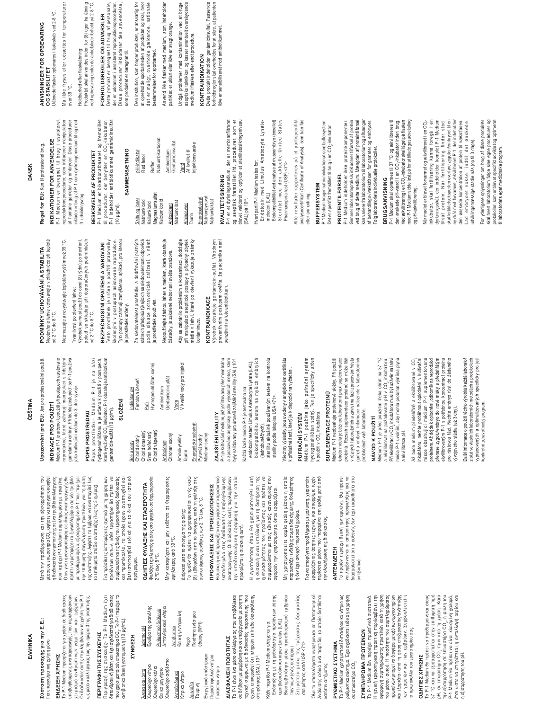Σύσταση προσοχής για την Ε.Ε.: Σύσταση προσοχής για την Ε.Ε.:

**EMNIKA** 

EMHNIKA

### Για επαγγελματική χρήση μόνο Tια επαγγελματική χρήση μόνο

## ΕΝΔΕΙΞΗ ΧΡΗΣΗΣ

To P-1 Medium προορίζεται για χρήση σε διαδικασίες υποβοηθούμενης αναπαραγωγής, που περιλαμβάνουν χειρισμό ανθρώπινων γαμετών και εμβρύων. Το P-1 Medium προορίζεται για χρήση σε διαδικασίες υποβοηθούμενης αναπαραγωγής, που περιλαμβάνουν **EN∆EI∃H XPH∑H∑** 

ως μέσο καλλιέργειας έως την ημέρα 3 της ανάπτυξης ως μέσο καλλιέργειας έως την ημέρα 3 της ανάπτυξης.

Oι διαδικασίες αυτές περιλαμβάνουν τη χρήση του P-1 χειρισμό ανθρώπινων γαμετών και εμβρύων.<br>χειρισμό ανθρώπινων γαμετών και εμβρύων.<br>Οι διαδικασίες αυτές περιλαμβάνουν τηχρήση του Ρ-1

ΠΕΡΙΓΡΑΦΗ ΤΗΣ ΣΥΣΚΕΥΗΣ<br>διπανδρακική βάση και έχει το P-1 Medium έχει<br>διπανδρακική βάση και έχει σχεδιοστεί για διαδικασίες<br>αντιβατικό θεική γενταμικίνη (10 μg/mL). ΠΕΡΙΓΡΑΦΗ ΤΗΣ ΣΥΣΚΕΥΗΣ

Περιγραφή της συσκευής- Το P-1 Medium έχει διπανθρακική βάση και έχει σχεδιαστεί για διαδικασίες που χρησιμοποιούν επωαστήρα CO<sub>2</sub>. Το P-1 περιέχει το

avrıβıorıkó θειική γενταμυκίνη (10 μg/mL). ΣΥΝΘΕΣΗ **ȈȊȃĬǼȈǾ**

πρόγραμμα.

προϊόντων αυτών, κάθε εργαστήριο θα πρέπει να<br>συμβουλεύεται τις δικέςτου εργαστήρισκές διαδικασίες<br>συμβουλεύεται τις δικέςτου εργαστήρισκές διαδικασίες<br>βελιτστοποιηθεί ειδικά για το δικό του ιατρικό

Για πρόσθετες λεπτομέρειες σχετικά με τη χρήση των

το επιθυμητό στάδιο ανάπτυξης (έως τις 3 ημέρες).

**ȅǻǾīǿǼȈĭȊȁǹȄǾȈȀǹǿȈȉǹĬǼȇȅȉǾȉǹ** Φυλάξτε τις κλειστές φιάλες στο ψυγείο, σε θερμοκρασία

ΟΔΗΓΙΕΣ ΦΥΛΑΞΗΣ ΚΑΙ ΣΤΑΘΕΡΟΤΗΤΑ

φυλάξτε τις κλειστές φιάλες στο ψυγείο, σε θερμοκρασία Μην καταψύχετε και μην εκθέτετε σε θερμοκρασίες

2 °C έως 8 °C.

2°C έως 8°C.

Äην καταψύχετε και μην εκθέτετε σε θερμοκρασίες

Το προϊόν θα πρέπει να χρησιμοποιείται εντός οκτώ Ιδ) εβδομάδων από το άνοιγμα, κατά τη φύλαξη στις συνιστώμενες συνθήκες των 2 °C έως 8 °C. <mark>ΠΡΟΦΥΛΑΞΕΙΣ ΚΑΙ ΠΡΟΕΙΔΟΠΟΙΗΣΕΙΣ</mark> H συσκευή αυτή προορίζεται για χρήση από προσωπικό IXT αιδευμένο στις διαδικασίες υποβοηθούμενης αναπαραγωγής. Οι διαδικασίες αυτές περιλαμβάνουν IJA nuogerkanohesu tababhokų kia ila ouoja

Διάρκεια μετά το άνοιγμα της φιάλης:

Το προϊόν θα πρέπει να χρησιμοποιείται εντός οκτώ<br>(8) εβδομάδων από το άνοιγμα, κατά τη φύλαξη στις<br>συνιστώμενες συνθήκεςτων 2 °C έως 8 °C.

Junγotepec arró 39°C. Διάρκεια μετά το άνοιγμα της φιάλης:

υψηλότερες από 39°C.

| <b>NEIKING DH</b> | Ερυθρό της φαινόλης | Διττανθρακικό νάτριο<br><b>Pueluromikó διάλυμα</b>       | Θεική γενταμυκίνη<br>Аутивнотико |
|-------------------|---------------------|----------------------------------------------------------|----------------------------------|
| Άλατα και ιόντα   | Χλωριούχο νάτριο    | Χλωριούχο ασβέστιο<br>Χλωριούχο κάλιο<br>Θειικό μαγνήσιο | Αντιοξειδωτικό<br>Kirouch whroup |

Kıτρικό νάτριο **Aurvocco** Γαυρίνη <u>Νερό</u><br>Ποιότητα ενέσιμου Toiórna ενέσιμου

Ενεργειακό υπόστρωμα <u>Ενεργειακό υπόστρωμα</u> Πυροσταφυλικό νάτριο Πυροσταφυλικό νάτριο Γαλακτικό νάτριο

üδατος (WFI)

ύδατος (WFI)

# ΔΙΑΣΦΑΛΙΣΗ ΠΟΙΟΤΗΤΑΣ

Γαλακτικό νάτριο

To P-1 είναι ένα μέσο καλλιέργειας που υποβάλλεται ιά διήθηση με μεμβράνη και σε επεξεργασία με άσηπη IEXvikή σύμφωνα με διαδικασίες παρασκευής που έχουν επικυρωθεί ότι πληρούν επίπεδο διασφάλισης Το P-1 είναι ένα μέσο καλλιέργειας που υποβάλλεται σε διήθηση με μεμβράνη και σε επεξεργασία με άσηπτη στατική σύμφωνα με διαδικασίες παρασκευής που<br>τεχνική σύμφωνα με διαδικασίες παρασκευής που<br>έχουν επικυρωθεί ότι πληρούν επίπεδο διασφάλισης **ΔΙΑΣΦΑΛΙΣΗ ΠΟΙΟΤΗΤΑΣ** στειρότητας (SAL) 10<sup>-3</sup>. orειρότητας (SAL) 10<sup>-3</sup>.

προορίζεται η συσκευή αυτή.

τροορίζεται η συσκευή αυτή.

την υποδεικνυόμενη εφαρμογή για την οποία

Η συσκευή αυτή προορίζεται για χρήση από προσωπικό<br>εκπαιδευμένο στις διαδικασίες υποβοηθούμενης<br>αναπαραγωγής. Οι διαδικασίες αυτές περιλαμβάνουν

ΠΡΟΦΥΛΑΞΕΙΣ ΚΑΙ ΠΡΟΕΙΔΟΠΟΙΗΣΕΙΣ

Η εγκατάσταση όπου θα χρησιμοποιηθεί αυτή H εγκατάσταση όπου θα χρησιμοποιηθεί αυτή η συσκευή είναι υπεύθυνη για τη διατήρηση της<br>Ιχνηλασιμότητας του προϊόντος και πρέπει να<br>συμμορφώνεται με τους εθνικούς κανονισμούς που i συσκευή είναι υπεύθυνη για τη διατήρηση της χνηλασιμότητας του προϊόντος και πρέπει να ιομμορφώνεται με τους εθνικούς κανονισμούς που αφορούν την ιχνηλασιμότητα, όπου εφαρμόζεται. αφορούν την ιχνηλασιμότητα, όπου εφαρμόζεται. Κάθε παρτίδα P-1 Medium ελέγχεται για:<br>Ενδοτοξίνη με τη μεθοδολογία προϊόντων λύσης Evδoroξivn με τη μεθοδολογία προϊόντων λύσης Káθε παρτίδα P-1 Medium ελέγχεται για:

α με την προστάση του πρώτου του προσδιορισμού εμβρύου<br>Βιοσυμβατότητα μέσω προσδιορισμού εμβρύου<br>ποντικών (ενός κυττάρου) BioonyBarórnia μέσω προσδιορισμού εμβρύου Στειρότητα μέσω της τρέχουσας δοκιμασίας<br>στειρότητας κατά USP <71> Στειρότητα μέσω της τρέχουσας δοκιμασίας αμοιβαδοειδών κυττάρων Limulus (LAL) αμοιβαδοειδών κυπάρων Limulus (LAL) ποντικών (ενός κυπάρου)

Ñη χρησιμοποιείτε καμία φιάλη μέσου η οποία παρουσιάζει ενδείξεις σωματιδιακής ύλης, θολερότητας

Μη χρησιμοποιείτε καμία φιάλη μέσου η οποία<br>παρουσιάζειενδείξεις σωματιδιακής ύλης, θολερότητας

ή δεν έχει ανοιχτό πορτοκαλί χρώμα.

ή δεν έχει ανοιχτό πορτοκαλί χρώμα.

ī ια να αποφύγετε προβλήματα με μόλυνση, χειριστείτε εφαρμόζοντος όσηπες τεχνικές και απορρίψτε τυχόν<br>περίσσεια μέσου που παραμένει στη φιάλη μετά από<br>την ολοκλήρωση της διαδικασίας. Ιεφαρμόζοντας άσηπτες τεχνικές και απορρίψτε τυχόν περίσσεια μέσου που παραμένει στη φιάλη μετά από Για να αποφύγετε προβλήματα με μόλυνση, χειριστείτε Όλα τα αποτελέσματα αναφέρονται σε Πιστοποιητικό<br>Ανάλυσης ειδικό ανά παρτίδα, το οποίο διατίθεται Όλα τα αποτελέσματα αναφέρονται σε Πιστοποιητικό Aváλυσης ειδικό ανά παρτίδα, το οποίο διατίθεται orsipórnias kará USP <71>

κατόπιν αιτήματος. **ȇȊĬȂǿȈȉǿȀȅȈȊȈȉǾȂǹ**

κατόπιν αιτήματος.

### **ANTENAEIEH ǹȃȉǼȃǻǼǿȄǾ**

iny oλοκλήρωση της διαδικασίας.

To P-1 Medium χρησιμοποιεί διπανθρακικό νάτριο ως ρυθμιστικό σύστημα. Έχει σχεδιαστεί ειδικά για χρήση

**PYOMIZTIKO ΣΥΣΤΗΜΑ** 

Το P-1 Medium χρησιμοποιεί διπανθρακικό νάτριο ως<br>ρυθμιστικό σύστημα. Έχει σχεδιαστεί ειδικά για χρήση

σε επωαστήρα CO<sub>2</sub>. **ZYMNADWAN** 

σε επωαστήρα CO,

To P-1 Medium δεν περιέχει πρωτεϊνικά συστατικά. H γενική εργαστηριακή πρακτική περιλαμβάνει την εφαρμογή συμπληρώματος πρωτεϊνών κατά τη χρήση Iou μέσου αυτού. Η ποσότητα του συμπληρώματος πρωτεϊνών μπορεί να διαφέρει μεταξύ των εργαστηρίων και εξαρτάται από τη φάση επεξεργασίας/ανάπτυξης IUV Yahtımı Kallan türe tibbanı zahbanyenisi τα πρωτόκολλα του εργαστηρίου σας. **ΩΔΗΓΙΕΣ ΧΡΗΣΗΣ** 

*EYMRAHPQMA RPQTEÏNQN* 

Το P-1 Medium δεν περιέχει πρωτεϊνικά συστατικά.<br>Η γενική εργαστηριακή πρακτική περιλαμβάνει την

εφαρμογή συμπληρώματος πρωτεϊνών κατά τη χρήση

του μέσου αυτού. Η ποσότητα του συμπληρώματος πρωτεϊνών μπορεί να διαφέρει μεταξύ των εργαστηρίων To P-1 Medium θα πρέπει να προθερμαίνεται στους & γαι να εξισορροπείται στην επιθυμητή τιμή pH, σε επωαστήρα CO<sub>2</sub> πριν από τη χρήση. Κατά Iny εξισορρόπηση σε επωαστήρα CO<sub>2</sub>, η φιάλη του P-1 Medium θα πρέπει να είναι κλεισμένη χαλαρά, έτσι ώστε να επιτρέπεται η ανταλλαγή αερίου και

ΟΔΗΓΙΕΣ ΧΡΗΣΗΣ

Το P-1 Medium θα πρέπει να προθερμαίνεται στους<br>37 °C και να εξισορροπείται στην επιθυμητή τιμή<br>pH, σε επωαστήρα CO<sub>2</sub> πριν από τη χρήση. Κατά

και εξαρτάται από τη φάση επεξεργασίας/ανάπτυξης<br>των γαμετών και των εμβρύων. Συμβουλευτείτε<br>τα πρωτόκολλα του εργαστηρίου σας.

η εξισορρόπηση του pH.

η εξισορρόπηση του pH.

την εξισορρόπηση σε επωσστήρα CO<sub>2,</sub> η φιάλη του<br>P-1 Medium θα πρέπει να είναι κλεισμένη χαλαρά,<br>έτσι ώστε να επιτρέπεται η ανταλλαγή αερίου και

Το προϊόν περιέχει θεική γενταμικίνη. Θα πρέπει<br>να λαμβάνονται οι απαραίτητες προφυλάξεις για να<br>διασφαλιστεί ότι ο ασθενής δεν έχει ευαισθησία στο Το προϊόν περιέχει θειική γενταμυκίνη. Θα πρέπει να λαμβάνονται οι απαραίτητες προφυλάξεις για να διασφαλιστεί ότι ο ασθενής δεν έχει ευαισθησία στο αντιβιοτικό.

Upozornění pro EU: Jen pro profesionální použití. Upozornění pro EU: Jen proprofesionální použití.

**ý(â7,1\$**

Mετά την προθέρμανση και την εξισορρόπηση του μέσου σε επωαστήρα CO<sub>2</sub>, αφήστε να πραγματοποιηθεί Töιαδικασία γονιμοποίησης σε ένα τρυβλίο καλλιέργειας που περιέχει P-1 Medium συμπληρωμένο με πρωτεΐνη. Otav γίνει η γονιμοποίηση, ο ειδικός αναπαραγωγής θα πρέπει να μεταφέρει το ζυγωτό/έμβρυο σε νέο τρυβλίο ιε προθερμασμένο, εξισορροπημένο P-1 που περιέχει Iny επιθυμητή συγκέντρωση πρωτεϊνών για τη φάση Inς ανάπτυξης. Αφήστε το έμβρυο να αναπτυχθεί έως Io επιθυμητό στάδιο ανάπτυξης (έως τις 3 ημέρες). ī ια πρόσθετες λεπτομέρειες σχετικά με τη χρήση των προϊόντων αυτών, κάθε εργαστήριο θα πρέπει να συμβουλεύεται τις δικές του εργαστηριακές διαδικασίες και πρωτόκολλα, τα οποία έχουν αναπτυχθεί και βελτιστοποιηθεί ειδικά για το δικό του ιατρικό

γετά την προθέρμανση και την εξισορρόπηση του μέσου σε επωαστήρα CO<sub>2</sub>, αφήστε να πραγματοποιηθεί<br>η διαδικασία γονιμοποίησης σε ένα τρυβλίο καλλιέργειας Όταν γίνει η γονιμοποίηση, ο ειδικός αναπαραγωγής θα<br>πρέπει να μεταφέρει το ζυγωτό/έμβρυο σε νέο τρυβλίο με προθερμασμένο, εξσορραπημένο P-1 που περιέχει<br>την επιθυμητή συγκέντρωση πρωτεϊνών για τη φάση<br>της ανάπτυξης, Αφήστε το έμβρυο να αναπτυχθεί έως

που περιέχει P-1 Medium συμπληρωμένο με πρωτεΐνη

Médium P-1 je určeno k použití při postupech asistované<br>reprodukce, které zahrnují manipulaci s lidskými<br>gametami a embryi. Při těchto postupech se P-1 používá Vlédium P-1 je určeno k použití při postupech asistované reprodukce, které zahrnují manipulaci s lidskými gametami a embryi. Při těchto postupech se P-1 používá INDIKACE PRO POUŽITÍ **NDIKACE PRO POUŽITÍ** 

## jako kultivační médium do 3. dne vývoje. POPIS PROSTŘEDKU

jako kultivační médium do 3. dne vývoje.

# **POPIS PROSTŘEDKU**

Popis prostředku- Médium P-1 je na bázi<br>hydrogenuhličitanu a je určeno k použití v postupech,<br>které využívají CO<sub>s</sub>inkubátor. P-1 obsahuje antibiotikum Popis prostředku- Médium P-1 je na bázi

## hydrogenuhličitanu a je určeno k použití v postupech, které využívají CO<sub>2</sub> inkubátor. P-1 obsahuje antibiotikum

## **6/2ä(1Ë**

gentamicin-sulfát (10 μg/ml).

gentamicin-sulfat (10 µg/ml).

<u>Pufr</u><br>Hydrogenuhličitan sodný Voda<br>V kvalitě vody pro injekci Hydrogenuhličitan sodný V kvalitě vody pro injekci Antibiotikum<br>Gentamicin-sulfát Indikátor pH<br>Fenolová červeň Gentamicin-sulfát Fenolová červeň Antibiotikum Chlorid draselný<br>Síran hořečnatý Chlorid vápenatý Antioxidant<br>Citronan sodný Chlorid vápenatý Soli a ionty<br>Chlorid sodný Chlorid draselný Síran hořečnatý Citronan sodný Aminokyseliny Chlorid sodný Antioxidant

## Aminokyseliny<br>Taurin

Energetický substrát<br>Pyruvát sodný Energetický substrát Mléčnan sodný Vilêčnan sodný Pyruvát sodný

### p.<br>P-1 je kultivační médium, jež je filtrováno přes membránu ZAJIŠTĚNÍ KVALITY **=\$-,â7ċ1Ë.9\$/,7<**

2-1 je kultivační médium, jež je filtrováno přes membránu a zpracováno asepticky podle výrobních metod, které

a zpracováno asepticky podle výrobních metod, které

byly validovány pro úroveň zajištění sterility (SAL) 10<sup>-3</sup>. byly validovány pro úroveň zajištění sterility (SAL) 10° endotoxin testem Limulus Amebocyte Lysate (LAL), endotoxin testem Limulus Amebocyte Lysate (LAL), Každá šarže média P-1 je testována na: Každá šarže média P-1 je testována na:

### biokompatibilitu testem na myších embryích sterilitu aktuálně používaným testem na kontrolu sterilitu aktuálně používaným testem na kontrolu biokompatibilitu testem na myších embryích (jednobuněčných),

Všechny výsledky jsou uvedeny v analytickém certifikátu Všechny výsledky jsou uvedeny v analytickém certifikátu sterility podle lékopisu USA <71>. sterility podle lékopisu USA <71>.

### PUFRAČNÍ SYSTÉM PUFRAČNÍ SYSTÉM

k příslušné šarži, který je k dispozici na vyžádání.

k příslušné šarži, který je k dispozici na vyžádání.

Médium P-1 používá jako pufrační systém<br>hydrogenuhličitan sodný. Ten je specificky určen<br>k použit v CO<sub>s</sub> inkubátoru. hydrogenuhličitan sodný. Ten je specificky určen Médium P-1 používá jako pufrační systém k použití v CO<sub>2</sub> inkubátoru.

### SUPLEMENTACE PROTEINÚ SUPLEMENTACE PROTEIN**Ú**

Médium P-1 neobsahuje proteinové složky. Při použití<br>tohoto média je běžnou laboratomí praxi suplementace Vlédium P-1 neobsahuje proteinové složky. Při použití tohoto média je běžnou laboratorní praxí suplementace proteinů. Rozsah suplementace proteinů se může lišit v různých laboratořích a závisí na fázi zpracování/růstu gamet a embryí. Informace naleznete v laboratorních proteinů. Rozsah suplementace proteinů se může lišit v různých laboratořích a závisí na fázi zpracování/růstu<br>gamet a embryí. Informace naleznete v laboratorních protokolech vaší laboratoře.

### NÁVOD K POUŽITÍ NÁVOD K POUŽITÍ

protokolech vaší laboratoře.

a ekvilibrovat na požadované pH v CO<sub>2</sub> inkubátoru. média P-1 uvolněn, aby mohla probíhat výměna plynů Médium P-1 je před použitím třeba ohřát na 37 °C Vlédium P-1 je před použitím třeba ohřát na 37 °C Při ekvilibraci v CO<sub>2</sub> inkubátoru musí být uzávěr na lahvi a ekvilibrovať na požadované pH v CO<sub>2</sub> inkubátoru Při ekvilibraci v CO., inkubátoru musí být uzávěr na lahvi média P-1 uvolněn, aby mohla probíhat výměna plynů a ekvilibrace pH. a ekvilibrace pH.

proteinem. Až dojde k oplodnění, odborník na reprodukci přenese zygotu/embryo do nové misky s předehřátým ekvilibrovaným P-1 s potřebnou koncentrací proteinu inkubátoru, nechte proběhnout oplodnění v kultivační misce obsahující médium P-1 suplementované misce obsahující médium P-1 suplementované proteinem. Až dojde k oplodnění, odborník na reprodukci ekvilibrovaným P-1 s potřebnou koncentrací proteinu<br>pro růstovou fázi. Nechte embryo růst do žádaného pro růstovou fázi. Nechte embryo růst do žádaného Až bude médium předehřáté a ekvilibrované v CO<sub>2</sub> Až bude médium předehřáté a ekvilibrované v CO<sub>2</sub> inkubátoru, nechte proběhnout oplodnění v kultivační přenese zygotu/embryo do nové misky s předehřátým vývojového stádia (až 3 dny). yyojového stádia (až 3 dny).

Další informace o použití těchto výrobků každá laboratoř získá ve vlastních laboratorních metodách a protokolech vypracovaných a optimalizovaných specificky pro její

Další informace o použití těchto výrobků každá laboratoř<br>získá ve vlastních laboratorních metodách a protokolech

vypracovaných a optimalizovaných specificky pro její

konkrétní zdravotnický program.

konkrétní zdravotnický program.

Neotevřené lahve uchovávejte v chladničce při teplotě<br>od 2 °C do 8 °C. Neotevřené lahve uchovávejte v chladničce při teplotě PODMÍNKY UCHOVÁVÁNÍ A STABILITA **PODMÍNKY UCHOVÁVÁNÍ A STABILITA**

Nezmrazujte a nevystavujte teplotám vyšším než 39 °C. Nezmrazujte a nevystavujte teplotám vyšším než 39 °C. od 2 °C do 8 °C.

Výrobek se musí použít do osmi (8) týdnů po otevření, Výrobek se musí použít do osmi (8) týdnů po otevření, Trvanlivost po otevření lahve: Trvanlivost po otevření lahve:

3. udviklingsdag.

3. udviklingsdag.

**BESKRIVELSE AF PRODUKTET** P-1 Medium er bikarbonatbaseret og fremstillet til procedurer, der benytter en CO<sub>2</sub>-inkubator. P-1 indeholder antibiotikummet gentamicinsulfat

BESKRIVELSE AF PRODUKTET

P-1 Medium er bikarbonatbaseret og fremstillet<br>til procedurer, der benytter en CO<sub>z</sub>-inkubator. P-1 indeholder antibiotikummet gentamicinsulfat

### pokud se skladuje při doporučených podmínkách Tento prostředek je určen k použití pracovníky pokud se skladuje při doporučených podmínkách BEZPEČNOSTNÍ OPATŘENÍ A VAROVÁNÍ BEZPEČNOSTNÍ OPATŘENÍ A VAROVÁNÍ od 2 °C do 8 °C. od 2 °C do 8 °C.

Tento prostředek je určen k použití pracovníky<br>školenými v postupech asistované reprodukce. školenými v postupech asistované reprodukce. Tyto postupy zahrnují zamýšlenou aplikaci, pro kterou Za sledovatelnost prostředku a dodržování platných Tyto postupy zahrnují zamýšlenou aplikaci, pro kterou je prostředek určený. je prostředek určený.

(10 μg/ml).

**SAMMENSÆTNING**

SAMMENSÆTNING

Salte og ioner Natriumklorid Kaliumklorid Magnesiumsulfat

Salte og ioner<br>Natriumklorid<br>Kaliumklorid

pH-indikator Rød fenol Buffer Natriumbikarbonat Antibiotikum Gentamicinsulfat Vand

pH-indikator

Natriumbikarbonat

Gentamicinsulfat

Antibiotikum

Za sledovatelnost prostředku a dodržování platných<br>státních předpisůtýkajících se sledovatelnosti odpovídá státních předpisů týkajících se sledovatelnosti odpovídá podle situace zdravotnické zařízení, v němž podle situace zdravotnické zařízení, v němž je prostředek používán. je prostředek používán.

Nepoužívejte žádnou lahev s médiem, které obsahuje Nepoužívejte žádnou lahev s médiem, které obsahuje částečky, je zakalené nebo není světle oranžové. částečky, je zakalené nebo není světle oranžové.

Aby se zabránilo problémům s kontaminací, dodržujte Aby se zabránilo problémům s kontaminací, dodržujte při manipulaci aseptické postupy a případný zbytek<br>média v lahvi, které po otevření vykazuje známky při manipulaci aseptické postupy a případný zbytek média v lahvi, které po otevření vykazuje známky

### KONTRAINDIKACE **KONTRAINDIKACE**

Výrobek obsahuje gentamicin-sulfát. Vhodným<br>preventivním postupem ověřte, že pacientka není<br>senzitivní na toto antibiotikum. Výrobek obsahuje gentamicin-sulfát. Vhodným preventivním postupem ověřte, že pacientka není senzitivní na toto antibiotikum.

Magnesiumsulfat<br>Kalciumklorid Kalciumklorid Natriumcitrat Natriumcitrat Antioxidant Antioxidant

kontaminace. kontaminace.

njektionsvæske injektionsvæske Af kvalitet til Af kvalitet til Natriumpyruval Natriumpyruvat Energisubstrat Energisubstrat Natriumlaktat Natriumlaktat Aminosyrer aurin

### KVALITETSSIKRING **KVALITETSSIKRING**

P-1 er et dyrkningsmedium, der er membranfiltreret P-1 er et dyrkningsmedium, der er membranfiltreret og aseptisk fremstillet iht. procedurer, som er<br>blevet valideret og opfylder et sterilitetssikringsniveau og aseptisk fremstillet iht. procedurer, som er blevet valideret og opfylder et sterilitetssikringsniveau (SAL) på 10<sup>-3</sup> (SAL) på 10-3.

Endotoxin med Limulus Amebocyte Lysate-Endotoxin med Limulus Amebocyte Lysate-Hvert parti P-1 Medium testes for: Hvert parti P-1 Medium testes for:

Biokompatibilitet ved analyse af museembryo (éncellet) Sterilitet med den aktuelle United States Biokompatibilitet ved analyse af museembryo (éncellet) Sterilitet med den aktuelle United States Pharmacopeia-test (USP) <71> Pharmacopeia-test (USP) <71> metoden (LAL) metoden (LAL)

Alle resultater rapporteres på et partispecifikt<br>analysecertifikat (Certificate of Analysis), som kan fås Alle resultater rapporteres på et partispecifikt analysecertifikat (Certificate of Analysis), som kan fås efter anmodning. efter anmodning.

### **BUFFERSYSTEM BUFFERSYSTEM**

P-1 Medium bruger natriumbikarbonat som buffersystem. P-1 Medium bruger natriumbikarbonat som buffersystem. Det er specifikt fremstillet til brug i en CO<sub>2</sub>-inkubator. Det er specifikt fremstillet til brug i en CO<sub>2</sub>-in kubator.

### **PROTEINTILFØRSEL PROTEINTILFØRSEL**

P-1 Medium indeholder ikke proteinkomponenter. Generel laboratoriepraksis inkluderer tilførsel af protein ved brug af dette medium. Mængden af proteintilførsel<br>kan variere fra laboratorium til laboratorium og afhænger ved brug af dette medium. Mængden af proteintilførsel kan variere fra laboratorium til laboratorium og afhænger af behandlings-/vækstfasen for gameter og embryoer. Generel laboratoriepraksis inkluderer tilførsel af protein af behandlings-/vækstfasen for gameter og embryoer<br>Følg laboratoriets individuelle protokoller. P-1 Medium indeholder ikke proteinkomponenter Følg laboratoriets individuelle protokoller.

### BRUGSANVISNING **BRUGSANVISNING**

P-1 Medium skal opvarmes til 37 °C og ækvilbreres til<br>den ønskede pH-værdi i en CO<sub>-1</sub>-nkubator inden brug.<br>med P-1 Medium skale besteden brug.<br>med P-1 Medium sidde løst på for at tillade gasudveksling P-1 Medium skal opvarmes til 37 °C og ækvilibreres til den ønskede pH-værdi i en CO<sub>2</sub>-inkubator inden brug. Ved ækvilibrering i en CO2-inkubator skal låget på flasken med P-1 Medium sidde løst på for at tillade gasudveksling og pH-ækvilibrering. og pH-ækvilibrering.

inkubator, skal fertilisering kunne foregå i en dyrkningsskål, der indeholder komplet P-1 Medium dyrkningsskål, der indeholder komplet P-1 Medium tilsat protein. Når fertilisering finder sted,<br>skalfertilletsekspertenoverførezygoten/embryoet til en tilsat protein. Når fertilisering finder sted, skal fertilitetseksperten overføre zygoten/embryoet til en ny skál med forvarmet, ækvilibreret P-1, der indeholder ny skål med forvarmet, ækvilibreret P-1, der indeholder den ønskede koncentration af protein til vækstfasen. ad embryoet vokse, indtil det ønskede, Når mediet er blevet forvarmet og ækvilibreret i en  $CO_2$ inkubator, skal fertilisering kunne foregå i en Lad embryoet vokse, indtil det ønskede, Når mediet er blevet forvarmet og ækvilibreret i en CO2 den ønskede koncentration af protein til vækstfasen udviklingsmæssige stadie nås (op til 3 dage). udviklingsmæssige stadie nås (op til 3 dage).

For yderligere oplysninger om brug af disse produkter For yderligere oplysninger om brug af disse produkter skal hvert laboratorium følge sine egne procedurer og<br>protokoller, som er blevet specifikt udviklet og optimeret skal hvert laboratorium følge sine egne procedurer og protokoller, som er blevet specifikt udviklet og optimeret r and an annual medicinske program.<br>til laboratoriets eget medicinske program. til laboratoriets eget medicinske program.

Uåbnede flasker opbevares i køleskab ved 2-8 °C. Uåbnede flasker opbevares i køleskab ved 2-8 ºC. ANVISNINGER FOR OPBEVARING **ANVISNINGER FOR OPBEVARING OG STABILITET** OG STABILITET

**DANSK Regel for EU:** Kun til professionel brug. **INDIKATIONER FOR ANVENDELSE** P-1 Medium er beregnet til brug i assisteret reproduktionsprocedurer, som inkluderer manipulation af humane gameter og embryoer. Disse procedurer inkluderer brug af P-1 som dyrkningsmedium til og med

Må ikke fryses eller udsættes for temperaturer Må ikke fryses eller udsættes for temperaturer

P-1 Medium er beregnet til brug i assisteret reproduktionsprocedurer, som inkluderer manipulation af humane gameter og embryoer. Disse procedurer<br>inkluderer brug af P-1 som dyrkningsmedium til og med

INDIKATIONER FOR ANVENDELSE

Regel for EU: Kun til professionel brug.

Holdbarhed efter flaskeåbning: Holdbarhed efter flaskeåbning: over 39 °C. over 39 °C.

Produktet skal anvendes inden for (8) uger fra åbning<br>ved opbevaring under de anbefalede forhold på 2-8 °C. Produktet skal anvendes inden for (8) uger fra åbning ved opbevaring under de anbefalede forhold på 2-8 °C. FORHOLDSREGLER OG ADVARSLER **FORHOLDSREGLER OG ADVARSLER**

Dette produkt er beregnet til brug af personale,<br>der er uddannet i assistenet reproduktionsprocedurer.<br>Disse procedurer inkluderer den anvendelse, Dette produkt er beregnet til brug af personale, der er uddannet i assisteret reproduktionsprocedurer. Disse procedurer inkluderer den anvendelse, som produktet er beregnet til. som produktet er beregnet til.

Den institution, som bruger produktet, er ansvarlig for<br>at opretholde sporbarheden af produktet og skal, hvor Den institution, som bruger produktet, er ansvarlig for at opretholde sporbarheden af produktet og skal, hvor det er muligt, overholde gældende, nationale det er muligt, overholde gældende, nationale bestemmelser for sporbarhed.

Anvend ikke flasker med medium, som indeholder Anvend ikke flasker med medium, som indeholder partikler, er uklart eller ikke er svagt orange. partikler, er uklart eller ikke er svagt orange. bestemmelser for sporbarhed.

Undgå problemer med kontamination ved at bruge Undgå problemer med kontamination ved at bruge aseptiske teknikker, og kasser eventuelt overskydende aseptiske teknikker, og kasser eventuelt overskydende

### KONTRAINDIKATION **KONTRAINDIKATION**

Dette produkt indeholder gentamicinsulfat. Passende forholdsregler skal overholdes for at sikre, at patienten ikke er sensibiliseret mod antibiotikummet.

Dette produkt indeholder gentamicinsulfat. Passende<br>forholdsregler skal overholdes for at sikre, at patienten

ikke er sensibiliseret mod antibiotikummet.

medium i flasken efter endt procedure.

medium i flasken efter endt procedure.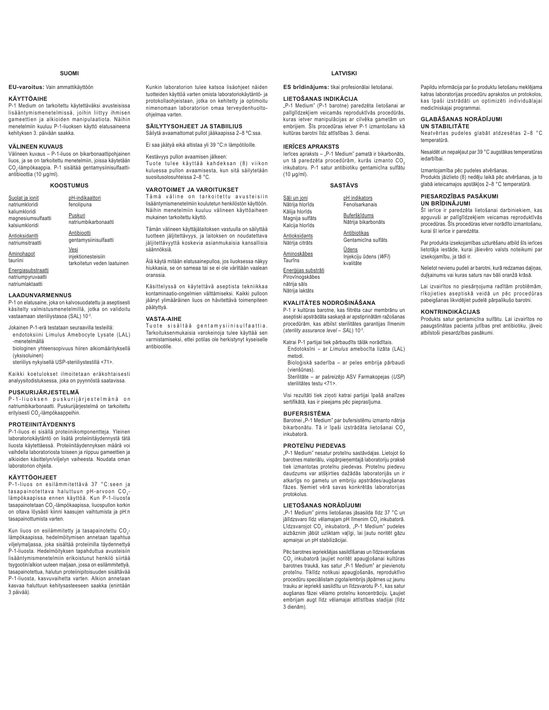### **SUOMI**

### **EU-varoitus:** Vain ammattikäyttöön

### **KÄYTTÖAIHE**

P-1 Medium on tarkoitettu käytettäväksi avusteisissa lisääntymismenetelmissä, joihin liittyy ihmisen gameettien ja alkioiden manipulaatiota. Näihin menetelmiin kuuluu P-1-liuoksen käyttö elatusaineena kehityksen 3. päivään saakka.

### **VÄLINEEN KUVAUS**

Välineen kuvaus – P-1-liuos on bikarbonaattipohjainen liuos, ja se on tarkoitettu menetelmiin, joissa käytetään  $\mathrm{CO}_2$ -lämpökaappia. P-1 sisältää gentamysiinisulfaattiantibioottia (10 μg/ml).

### **KOOSTUMUS**

| Suolat ja ionit<br>natriumkloridi                           | pH-indikaattori<br>fenolipuna                             |
|-------------------------------------------------------------|-----------------------------------------------------------|
| kaliumkloridi<br>magnesiumsulfaatti<br>kalsiumkloridi       | Puskuri<br>natriumbikarbonaatti                           |
| Antioksidantti<br>natriumsitraatti                          | Antibiootti<br>gentamysiinisulfaatti                      |
| Aminohapot<br>tauriini                                      | Vesi<br>injektionesteisiin<br>tarkoitetun veden laatuinen |
| Energiasubstraatti<br>natriumpyruvaatti<br>natriumlaktaatti |                                                           |

### **LAADUNVARMENNUS**

P-1 on elatusaine, joka on kalvosuodatettu ja aseptisesti käsitelty valmistusmenetelmillä, jotka on validoitu vastaamaan steriiliystasoa (SAL) 10-3.

Jokainen P-1-erä testataan seuraavilla testeillä: endotoksiini Limulus Amebocyte Lysate (LAL)

- -menetelmällä biologinen yhteensopivuus hiiren alkiomäärityksellä (yksisoluinen)
- steriiliys nykyisellä USP-steriiliystestillä <71>.

Kaikki koetulokset ilmoitetaan eräkohtaisesti analyysitodistuksessa, joka on pyynnöstä saatavissa.

### **PUSKURIJÄRJESTELMÄ**

P - 1 - liu o k s e n puskurijärjestel mänä on natriumbikarbonaatti. Puskurijärjestelmä on tarkoitettu erityisesti CO<sub>2</sub>-lämpökaappeihin.

### **PROTEIINITÄYDENNYS**

P-1-liuos ei sisällä proteiinikomponentteja. Yleinen laboratoriokäytäntö on lisätä proteiinitäydennystä tätä liuosta käytettäessä. Proteiinitäydennyksen määrä voi vaihdella laboratoriosta toiseen ja riippuu gameettien ja alkioiden käsittelyn/viljelyn vaiheesta. Noudata oman laboratorion ohjeita.

### **KÄYTTÖOHJEET**

P-1-liuos on esilämmitettävä 37 °C:seen ja tasapainotettava haluttuun pH-arvoon  $CO<sub>2</sub>$ lämpökaapissa ennen käyttöä. Kun P-1-liuosta tasapainotetaan CO<sub>2</sub>-lämpökaapissa, liuospullon korkin on oltava löysästi kiinni kaasujen vaihtumista ja pH:n tasapainottumista varten.

Kun liuos on esilämmitetty ja tasapainotettu CO<sub>2</sub>lämpökaapissa, hedelmöitymisen annetaan tapahtua viljelymaljassa, joka sisältää proteiinilla täydennettyä P-1-liuosta. Hedelmöityksen tapahduttua avusteisiin lisääntymismenetelmiin erikoistunut henkilö siirtää tsygootin/alkion uuteen maljaan, jossa on esilämmitettyä, tasapainotettua, halutun proteiinipitoisuuden sisältävää P-1-liuosta, kasvuvaihetta varten. Alkion annetaan kasvaa haluttuun kehitysasteeseen saakka (enintään 3 päivää).

Kunkin laboratorion tulee katsoa lisäohjeet näiden tuotteiden käyttöä varten omista laboratoriokäytäntö- ja protokollaohjeistaan, jotka on kehitetty ja optimoitu nimenomaan laboratorion omaa terveydenhuoltoohjelmaa varten.

### **SÄILYTYSOHJEET JA STABIILIUS** Säilytä avaamattomat pullot jääkaapissa 2–8 ºC:ssa.

Ei saa jäätyä eikä altistaa yli 39 °C:n lämpötiloille.

Kestävyys pullon avaamisen jälkeen:

Tuote tulee käyttää kahdeksan (8) viikon kuluessa pullon avaamisesta, kun sitä säilytetään suositusolosuhteissa 2–8 °C.

### **VAROTOIMET JA VAROITUKSET**

Tämä väline on tarkoitettu avusteisiin lisääntymismenetelmiin koulutetun henkilöstön käyttöön. Näihin menetelmiin kuuluu välineen käyttöaiheen mukainen tarkoitettu käyttö.

Tämän välineen käyttäjälaitoksen vastuulla on säilyttää tuotteen jäljitettävyys, ja laitoksen on noudatettava jäljitettävyyttä koskevia asianmukaisia kansallisia säännöksiä.

Älä käytä mitään elatusainepulloa, jos liuoksessa näkyy hiukkasia, se on sameaa tai se ei ole väriltään vaalean oranssia.

Käsittelyssä on käytettävä aseptista tekniikkaa kontaminaatio-ongelmien välttämiseksi. Kaikki pulloon jäänyt ylimääräinen liuos on hävitettävä toimenpiteen päätyttyä.

### **VASTA-AIHE**

Tuote sisältää gentamysiinisulfaattia. Tarkoituksenmukaisia varokeinoja tulee käyttää sen varmistamiseksi, ettei potilas ole herkistynyt kyseiselle antibiootille.

### **LATVISKI**

ES brīdinājums: tikai profesionālai lietošanai.

### **LIETOŠANAS INDIKĀCIJA**

"P-1 Medium" (P-1 barotne) paredzēta lietošanai ar palīglīdzekļiem veicamās reproduktīvās procedūrās. kuras ietver manipulācijas ar cilvēka gametām un embrijiem. Šīs procedūras ietver P-1 izmantošanu kā kultūras barotni līdz attīstības 3. dienai.

### **IERĪCES APRAKSTS**

lerīces apraksts - "P-1 Medium" pamatā ir bikarbonāts, un tā paredzēta procedūrām, kurās izmanto CO, inkubatoru. P-1 satur antibiotiku gentamicīna sulfātu (10 μg/ml).

### **SASTĀVS**

pH indikators Fenolsarkanais Buferškīdums Nātrija bikarbonāts Antibiotikas

> Gentamicīna sulfāts <u>Ūdens</u> Injekciju ūdens (WFI) kvalitāte

Enerģijas substrāti Pirovīnogskābes nātrija sāls

Nātrija laktāts

Sāļi un joni Nātrija hlorīds Kālija hlorīds Magnija sulfāts Kalcija hlorīds **Antioksidants** Nātrija citrāts Aminoskābes Taurīns

### **KVALITĀTES NODROŠINĀŠANA**

P-1 ir kultūras barotne, kas filtrēta caur membrānu un aseptiski apstrādāta saskaņā ar apstiprinātām ražošanas procedūrām, kas atbilst sterilitātes garantijas līmenim (*sterility assurance level* – *SAL*) 10-3.

Katrai P-1 partijai tiek pārbaudīts tālāk norādītais. Endotoksīni – ar *Limulus* amehocīta lizāta (LAL) metodi.

Bioloģiskā saderība - ar neles embrija pārbaudi (vienšūnas).

(moncentat).<br>Sterilitāte - ar pašreizējo ASV Farmakopejas (USP) sterilitātes testu <71>.

Visi rezultāti tiek ziņoti katrai partijai īpašā analīzes sertifikātā, kas ir pieejams pēc pieprasījuma.

### **BUFFRSISTĒMA**

Barotnei "P-1 Medium" par bufersistēmu izmanto nātrija bikarbonātu. Tā ir īpaši izstrādāta lietošanai  $CO<sub>2</sub>$ inkuhatorā

### **PROTEINU PIEDEVAS**

"P-1 Medium" nesatur proteīnu sastāvdalas. Lietojot šo barotnes materiālu, vispārpieņemtajā laboratoriju praksē tiek izmantotas proteīnu piedevas. Proteīnu piedevu daudzums var atšķirties dažādās laboratorijās un ir atkarīgs no gametu un embriju apstrādes/augšanas fāzes. Ņemiet vērā savas konkrētās laboratorijas protokolus.

### LIETOŠANAS NORĀDĪJUMI

"P-1 Medium" pirms lietošanas jāsasilda līdz 37 °C un jālīdzsvaro līdz vēlamajam pH līmenim CO<sub>2</sub> inkubatorā. Līdzsvarojot CO<sub>2</sub> inkubatorā, "P-1 Medium" pudeles aizbāznim jābūt uzliktam vaļīgi, lai ļautu noritēt gāzu apmainai un pH stabilizācijai.

Pēc barotnes iepriekšējas sasildīšanas un līdzsvarošanas CO<sub>2</sub> inkubatorā ļaujiet noritēt apaugļošanai kultūras barotnes traukā, kas satur "P-1 Medium" ar pievienotu proteīnu. Tiklīdz notikusi apaugļošanās, reproduktīvo procedūru speciālistam zigota/embrijs jāpārnes uz jaunu trauku ar iepriekš sasildītu un līdzsvarotu P-1, kas satur augšanas fāzei vēlamo proteīnu koncentrāciju. Ļaujiet embrijam augt līdz vēlamajai attīstības stadijai (līdz 3 dienām).

Papildu informācija par šo produktu lietošanu meklējama katras laboratorijas procedūru aprakstos un protokolos, kas īpaši izstrādāti un optimizēti individuālaiai medicīniskajai programmaj

### $GLAB\overline{A}\overline{S}ANASNOR\overline{A}D\overline{I}.IUMI$

**UN STABILITĀTE** Neatvērtas pudeles glabāt atdzesētas 2-8 °C temperatūrā

Nesaldēt un nepakļaut par 39 °C augstākas temperatūras iedarbībai

Izmantojamība pēc pudeles atvēršanas.

Produkts jāizlieto (8) nedēļu laikā pēc atvēršanas, ja to glabā ieteicamajos apstākļos 2-8 °C temperatūrā.

### **PIESARDZĪBAS PASĀKUMI**

**UN BRĪDINĀJUMI** 

Šī ierīce ir paredzēta lietošanai darbiniekiem, kas apguvuši ar palīglīdzekļiem veicamas reproduktīvās procedūras. Šīs procedūras ietver norādīto izmantošanu, kurai šī ierīce ir paredzēta

Par produkta izsekojamības uzturēšanu atbild šīs ierīces Türpischunden von Turpung von der Verbruchtung von der Verbruchtung von der Verbruchtung von der Verbruchtung an izsekojamību, ja tādi ir.

Nelietot nevienu pudeli ar barotni, kurā redzamas dalinas. duļķainums vai kuras saturs nav bāli oranžā krāsā.

Lai izvairītos no piesārņojuma radītām problēmām, rīkojieties aseptiskā veidā un pēc procedūras pabeigšanas likvidējiet pudelē pārpalikušo barotni.

### **KONTRINDIKĀCIJAS**

Produkts satur gentamicīna sulfātu. Lai izvairītos no paaugstinātas pacienta jutības pret antibiotiku, jāveic atbilstoši piesardzības pasākumi.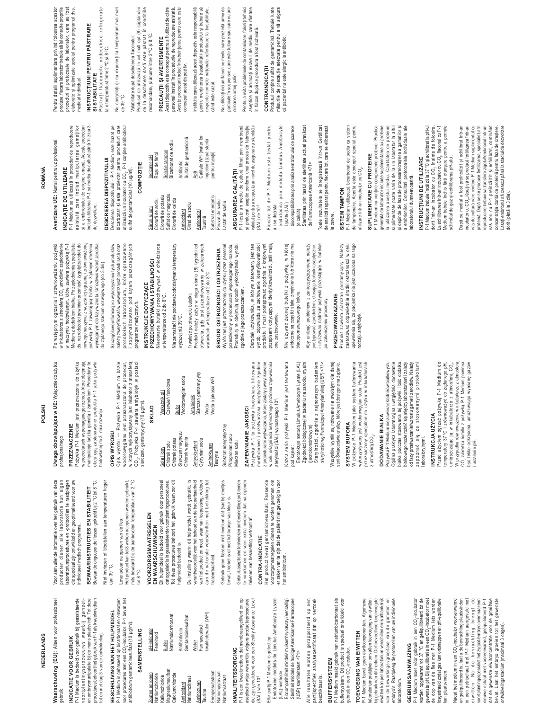### **NEDERLANDS NEDERLANDS**

Waarschuwing (EU): Alleen voor professioneel **Waarschuwing (EU):** Alleen voor professioneel gebruik.

### INDICATIE VOOR GEBRUIK **INDICATIE VOOR GEBRUIK**

P-1 Medium is bedoeld voor gebruik bij geassisteerde<br>voortplantingsprocedures waarbij gameet-<br>procedures behoorthet gebruik van P-1 als kweekmedium<br>procedures behoorthet gebruik van P-1 als kweekmedium P-1 Medium is bedoeld voor gebruik bij geassisteerde v o o r t p l a n t i n g s p r o c e d u r e s w a a r b i j g a m e e t en embryomanipulatie bij de mens plaatsvindt. Tot deze procedures behoort het gebruik van P-1 als kweekmedium tot en met dag 3 van de ontwikkeling. tot en met dag 3 van de ontwikkeling.

BESCHRUVING VAN HET HULPMIDDEL<br>P-1 Medium is gebaseerd op bicarbonaat en ontworpen<br>artibioticum gentamicinesulfaat (10 µg/m) P-1 bevat het<br>artibioticum gentamicinesulfaat (10 µg/m). P-1 Medium is gebaseerd op bicarbonaat en ontworpen **BESCHRIJVING VAN HET HULPMIDDEL**

### voor procedures met een CO2-incubator. P-1 bevat het antibioticum gentamicinesulfaat (10 μg/ml). **SAMENSTELLING**

| Natriumpyruvaat | Natriumlactaat |
|-----------------|----------------|
|                 |                |
|                 |                |
|                 |                |
|                 |                |
|                 |                |
|                 |                |
|                 |                |
|                 |                |
|                 |                |
|                 |                |
|                 |                |

### KWALITEITSBORGING **KWALITEITSBORGING**

P-1 is een kweekmedium dat membraangefilterd en op P-1 is een kweekmedium dat membraangefilterd en op aseptische wijze verwerkt is volgens productieprocedures<br>die zijn gevalideerd voor een Sterility Assurance Level<br>(SAL) van 10<sup>.3</sup>. aseptische wijze verwerkt is volgens productieprocedures die zijn gevalideerd voor een Sterility Assurance Level (SAL) van 10-3.

Elke partij P-1 Medium is getest op:

Elke partij P-1 Medium is getest op:

Endotoxine middels de Limulus Amebocyte Lysate

Endotoxine middels de Limulus Amebocyte Lysate

Biocompatibiliteit middels muisembryoassay (eencellig)

Biocompatibiliteit middels muisembry oassay (eencellig)

(LAL)-methode

(LAL)-methode

### CONTRA-INDICATIE **CONTRA-INDICATIE**

Het product bevat gentamicinesulfaat. Passende<br>voorzorgsmaatregelen dienen te worden genomen om<br>er zeker van te zijn dat de patiënt niet gevoelig is voor Het product bevat gentamicinesulfaat. Passende voorzorgsmaatregelen dienen te worden genomen om er zeker van te zijn dat de patiënt niet gevoelig is voor het antibioticum. het antibioticum.

> Steriliteit middels de huidige Amerikaanse Farmacopee Alle resultaten worden gerapporteerd op een<br>partijspecifiek analysecertificaat dat op verzoek Alle resultaten worden gerapporteerd op een Steriliteit middels de huidige Amerikaanse Farmacopee (USP) steriliteitstest <71> (USP) steriliteitstest <71>

### partijspecifiek analysecertificaat dat op verzoek beschikbaar is. beschikbaar is.

P-1 Medium maakt gebruik van natriumbicarbonaat als<br>buffersysteem. Dit product is speciaal ontwikkeld voor P-1 Medium maakt gebruik van natriumbicarbonaat als buffersysteem. Dit product is speciaal ontwikkeld voor gebruik in een CO<sub>2</sub>-incubator. gebruik in een CO<sub>2</sub>-incubator. **BUFFERSYSTEEM BUFFERSYSTEEM**

## TOEVOEGING VAN EIWITTEN **TOEVOEGING VAN EIWITTEN**

P-1 Medium bevat geen eiwitcomponenten. Algemene laboratoriumpraktijken omvatten toevoeging van eiwitten<br>bij gebruik van dit medium. De hoeveelheid toegevoegde laboratoriumpraktijken omvatten toevoeging van eiwitten bij gebruik van dit medium. De hoeveelheid toegevoegde eiwitten kan per laboratorium verschillen en is afhankelijk eiwitten kan per laboratorium verschillen en is afhankelijk van de bewerkings-/groeifase van de gameten en<br>embryo's. Raadpleeg de protocollen van uw individuele van de bewerkings-/groeifase van de gameten en embryo's. Raadpleeg de protocollen van uw individuele P-1 Medium bevat geen eiwitcomponenten. Algemene laboratorium. aboratorium.

### **GEBRUIKSAANWIJZING GEBRUIKSAANWIJZING**

P-1 Medium moet vóór gebruik in een CO<sub>2</sub>-incubator<br>worden opgewarmd tot 37 °C en geëquilibreerd tot de<br>gewenste pH. Bij equilibratie in een CO<sub>2</sub>-incubator moet P-1 Medium moet vóór gebruik in een CO<sub>2</sub>-incubator worden opgewarmd tot 37 °C en geëquilibreerd tot de gewenste pH. Bij equilibratie in een CO2-incubator moet de dop van de fles met P-1 Medium iets worden losgedraaid zodat gas kan ontsnappen en pH-equilibratie de dop van de fles met P-1 Medium iets worden losgedraaid zodat gas kan ontsnappen en pH-equilibratie kan plaatsvinden. kan plaatsvinden.

en geëquilibreerd is, laat u de bevruchting plaatswinden<br>ein een peritschaal met P-1 Medium aargevuld met<br>ein een peritschaal met P-1 Medium aargevuld met<br>voortplantingsspecialisthetzygood/embyo.overnaar een<br>deuve eschaal Nadat het medium in een CO<sub>2</sub>-incubator voorverwarmd Nadat het medium in een CO2-incubator voorverwarmd en geëquilibreerd is, laat u de bevruchting plaatsvinden in een petrischaal met P-1 Medium aangevuld met ei witten. Na de bevruchting brengt de voortplantingsspecialist het zygoot/embryo over naar een nieuwe schaal met voorverwarmd, geëquilibreerd P-1 dat de gewenste eiwitconcentratie voor de groeifase bevat. Laat het embryo groeien tot het gewenste ontwikkelingsstadium (maximaal 3 dagen). ontwikkelingsstadium (maximaal 3 dagen).

i ustalenie pH.

ustalenie pH. W przypadku

Voor aanvullende informatie over het gebruik van deze<br>producten dienen alle laboratoria hun eigen<br>laboratoriumprocedures en -protocollen te raadplegen Voor aanvullende informatie over het gebruik van deze producten dienen alle laboratoria hun eigen laboratoriumprocedures en -protocollen te raadplegen die speciaal zijn ontwikkeld en geoptimaliseerd voor uw die speciaal zijn ontwikkeld en geoptimaliseerd voor uw individueel medisch programma. ndividueel medisch programma.

## BEWAARINSTRUCTIES EN STABILITEIT **BEWAARINSTRUCTIES EN STABILITEIT**

Bewaar de ongeopende flessen gekoeld bij 2 °C tot 8 °C. Niet invriezen of blootstellen aan temperaturen hoger Bewaar de ongeopende flessen gekoeld bij 2 °C tot 8 °C. Niet invriezen of blootstellen aan temperaturen hoger<br>dan 39 °C.

dan 39 °C.

Het product kan versuus result van die speel openen worden gebruikt, het bewede tot is die aanbevolen temperatuur van 2 °C.<br>Intis bewede tan is die aanbevolen temperatuur van 2 °C.<br>tot 8 °C. Het product kan tot 8 weken na openen worden gebruikt, mits bewaard bij de aanbevolen temperatuur van 2 °C evensduur na openen van de fles: Levensduur na openen van de fles:

## **VOORZORGSMAATREGELEN VOORZORGSMAATREGELEN**

siarczanu gentamycyny (10 μg/ml).

siarczanu gentamycyny (10 µg/ml).

CO<sub>2</sub>. Pożywka P-1 zawiera antybiotyk w postaci

8KŁAD

Wskaźnik pH Czerwień fenolowa <u>Bufor</u><br>Wodorowęglan sodu Wodorowęglan sodu Antybiotyk<br>Siarczan gentamycyny Siarczan gentamycyny <u>Woda</u><br>Woda o jakości WFI Woda o jakości WFI

Wskaźnik pH<br>Czerwień fenolowa

## EN WAARSCHUWINGEN **EN WAARSCHUWINGEN**

Dit hulpmiddel is bedoeld voor gebruik door personeel<br>datopgeleid is in geassisteerde voortplantingsprocedures.<br>Tot deze procedures behoort het gebruik waarvoor dit Dit hulpmiddel is bedoeld voor gebruik door personeel dat opgeleid is in geassisteerde voortplantingsprocedures. Tot deze procedures behoort het gebruik waarvoor dit hulpmiddel bedoeld is. hulpmiddel bedoeld is.

Sole i jony<br>Chlorek sodu<br>Chlorek potasu Chlorek sodu Chlorek potasu Siarczan magnezu Chlorek wapnia Antyoksydant Cytrynian sodu **Aminokwasy** Aminokwasy<br>Tauryna Substrat energetyczny Pirogronian sodu Mleczan sodu

Siarczan magnezu<br>Chlorek wapnia

Antyoksydant<br>Cytrynian sodu

van het product en moet, waar van toepassing, voldoen<br>aan de nationale voorschriften met betrekking tot De instelling waarin dit hulpmiddel wordt gebruikt, is De instelling waarin dit hulpmiddel wordt gebruikt, is verantwoordelijk voor het behoud van de traceerbaarheid verantwoordelijk voor het behoud van de traceerbaarheid van het product en moet, waar van toepassing, voldoen aan de nationale voorschriften met betrekking tot traceerbaarheid. traceerbaarheid.

Gebruik geen flessen met medium dat (vaste) deeltjes Gebruik geen flessen met medium dat (vaste) deeltjes bevat, troebel is of niet lichtoranje van kleur is. bevat, troebel is of niet lichtoranje van kleur is.

Substrat energetyczny<br>Pirogronian sodu

Mleczan sodu

Gebruik aseptische technieken om besmettingsproblemen Gebruik aseptische technieken om besmettingsproblemen te voorkomen en voer extra medium dat na openen te voorkomen en voer extra medium dat na openen tekenen van besmetting vertoont af. tekenen van besmetting vertoont af.

**=\$3(:1,\$1,(-\$.2ĝ&,**

ZAPEWNIANIE JAKOŚCI

Pożywka P-1 to pożywka hodowlana filtrowana membranowo i przetwarzana aseptycznie zgodnie z procedurami wytwarzania, które zostały zweryfikowane w celu osiągnięcia bezpiecznego poziomu zapewniania

Pożywka P-1 to pożywka hodowlana filtrowana<br>membranowo i przetwarzana aseptycznie zgodnie

z procedurami wytwarzania, które zostały zweryfikowane w celu osiągnięcia bezpiecznego poziomu zapewniania<br>sterylności (SAL) wynoszącego 10° Każda seria pożywki P-1 Medium jest testowana Endotoksyn metoda Limulus Amebocyte Lysate (LAL) Zgodności biologicznej w badaniu na zarodku mysim Sterylności, zgodnie z najnowszym badaniem Wszystkie wyniki są notowane na swoistym dla danej

sterylności (SAL) wynoszące go 10<sup>-3</sup>.

Każda seria pożywki P-1 Medium jest testowana

Endotoksyn metodą Limulus Amebocyte Lysate (LAL) Zgodności biologicznej w badaniu na zarodku mysim

(jednokomórkowym)

(jednoko mórkowym)

Sterylności, zgodnie z najnowszym badaniem sterylności wg Farmakopei Amerykańskiej (USP) <71> Wszystkie wyniki są notowane na swoistym dla danej serii Świadectwie analizy, które jest dostępne na żądanie.

sterylności wg Farmakopei Amerykańskiej (USP) <71> serii Swiadectwie analizy, które jest dostępne na żądanie

pod kątem:

Uwaga obowiązująca w UE: Wyłącznie do użytku **Uwaga obowiązująca w UE:** Wyłącznie do użytku profesjonalnego profesjonalnego

### **PRZEZNACZENIE PRZEZNACZENIE**

Pożywka P-1 Medium jest przeznaczona do użytku<br>w procedurach wspomaganego rozrodu, które obejmują<br>manipulacje ludzką gametą i zarodkiem. Procedury te Pożywka P-1 Medium jest przeznaczona do użytku w procedurach wspomaganego rozrodu, które obejmują

manipulacje ludzką gametą i zarodkiem. Procedury te obejmują zastosowanie produktu P-1 jako pożywki obejmują zastosowanie produktu P-1 jako pożywki

hodowlanej do 3. dnia rozwoju. **OPIS WYROBU**

**OPIS WYROBU** 

hodowlanej do 3. dnia rozwoju.

Opis wyrobu — Pożywka P-1 Medium na bazie wodorowęglanu jest przeznaczona do procedur, w których wykorzystywany jest inkubator z atmosferą  $\mathsf{CO}_{2^\star}$  Pożywka P-1 zawiera antybiotyk w postaci

Opis wyrobu — Pożywka P-1 Medium na bazie<br>wodorowęglanu jest przeznaczona do procedur,<br>w których wykorzystywany jest inkubator z atmosferą

### PRZECHOWYWANIA I STABILNOŚCI PRZECHOWYWANIA I STABILNOŚCI INSTRUKCJE DOTYCZĄCE **INSTRUKCJE DOTYCZĄCE**

Nieotwarte butelki przechowywać w chłodziarce<br>w temperaturze od 2 do 8°C. Nieotwarte butelki przechowywać w chłodziarce w temperaturze od 2 do 8°C.

wyższej niż 39°C. wyższej niż 39°C.

otwarcia, gdy jest przechowywany w zalecanych<br>warunkach, w temperaturze od 2 do 8°C. warunkach, w temperaturze od 2 do 8°C. Trwałość po otwarciu butelki: Trwałość po otwarciu butelki:

### Wyrób ten jest przeznaczony do użytku przez personel przeszkolony w procedurach wspomaganego rozrodu.<br>Procedury te obejmują sposób wykorzystania wyrobu przeszkolony w procedurach wspomaganego rozrodu. Procedury te obejmują sposób wykorzystania wyrobu Wyrób ten jest przeznaczony do użytku przez personel ŚRODKI OSTROŻNOŚCI I OSTRZEŻENIA ŚRODKI OSTROŻNOŚCI I OSTRZEŻENIA

Ośrodek użytkownika, w którym stosowany jest ten wyrób, odpowiada za zachowanie identyfikowalności stepować zgodnie z krajowymi zgodnie z jego przeznaczeniem. zgodnie z jego przeznaczeniem.

Nie używać żadnej butelki z pożywką, w której<br>widoczne są cząstki stałe, zmętnienie lub która nie ma Nie używać żadnej butelki z pożywką, w której widoczne są cząstki stałe, zmętnienie lub która nie ma one zastosowanie. one zastosowanie.

Produkt zawiera siarczan gentamycyny. Należy<br>zastosować odpowiednie środki ostrożności w celu<br>odzaju amybiotyk,<br>rodzaju amybiotyk, Produkt zawiera siarczan gentamycyny. Należy zastosować odpowiednie środki ostrożności w celu upewnienia się, że pacjentka nie jest uczulona na tego rodzaju antybiotyk.

w inkubatorze z atmosferą CO<sub>2</sub> umożliwić zapłodnienie<br>w naczyniu hodowlanym, które zawiera pożywkę P-1 wstępnym ogrzaniu i zrównoważeniu pożywki 3 R ZVEDDVM Ogrzaniu i zrównoważeniu pożywki w inkubatorze z atmosferą CO<sub>2</sub> umożliwić zapłodnienie

nowego naczynia z wcześniej ogrzaną i zrównoważoną<br>pożywką P-1 zawierającą białko w żądanym stężeniu w naczyniu hodowlanym, które zawiera pożywkę P-1 Medium z dodatkiem białka. Po zapłodnieniu specjalista Vledium z dodatkiem białka. Po zapłodnieniu specjalista ds. rozrodczości powinien przenieść zygotę/zarodek do ds. rozrodczości powinien przenieść zygotę/zarodek do prosawomoma z wcześniej ogrzaną i zrównoważoną sożywką P-1 zawierającą białko w żądanym stężeniu wymaganym dla fazy wzrostu. Umożliwić wzrost zarodka wymaganym dla fazy wzrostu. Umożliwić wzrost zarodka do żądanego stadium rozwojowego (do 3 dni). do żądanego stadium rozwojowego (do 3 dni).

Szczegółowe informacje o wykorzystaniu tych produktów Szczegółowe informacje o wykorzystaniu tych produktów należy zweryfikować w wewnętrznych procedurach oraz należy zwe ryfikować w wewnętrznych procedurach oraz protokołach laboratorium, które opracowano orotokołach laboratorium, które opracowano zoptymalizowano pod kątem poszczególnych zoptymalizowano pod kątem poszczególnych programów medycznych. programów medycznych.

Nie zamrażać i nie poddawać oddziaływaniu temperatury Nie zamrażać i nie poddawać oddziaływaniu temperatury Produkt należy zużyć w ciągu ośmiu (8) tygodni od Produkt należy zużyć w ciągu ośmiu (8) tygodni od otwarcia, gdy jest przechowywany w zalecanych Ośrodek użytkownika, w którym stosowany jest ten<br>wyrób, odpowiada za zachowane identyfikowalności<br>wyrób, odpowiada za zachowane identyfikowalności<br>przepisami dotyczącymi identyfikowalności, jeśli mają orzepisami dotyczącymi identyfikowalności, jeśli mają

bladopomarańczowego koloru. plado pomarańczowego koloru. Aby uniknąć problemów z zanieczyszczeniem, należy<br>postępować z produktem, stosując techniki aseptyczne, Aby uniknąć problemów z zanieczyszczeniem, należy oostępować z produktem, stosując techniki aseptyczne, i utylizować nadmiar pożywki pozostający w butelce utylizować nadmiar pożywki pozostający w butelce po zakończeniu procedury. o zakończeniu procedury.

### **PRZECIWWSKAZANIE PRZECIWWSKAZANIE**

**SYSTEM BUFORA**

**SYSTEM BUFORA** 

z atmosferą CO $_{2}$ . DODAWANIE BIAŁKA

z atmosfera CO<sub>2</sub>

DODAWANIE BIAŁKA

Pożywka P-1 Medium nie zawiera składników białkowych. Ogólna praktyka laboratoryjna uwzględnia dodawanie białka podczas stosowania tej pożywki. Ilość dodatku białkowego może różnić się między laboratoriami i zależy od fazy przetwarzania/wzrostu gamet i zarodków. Należy zapoznać się ze stosowanymi protokołami

Pożywka P-1 Medium nie zawiera składników białkowych

Ogólna praktyka laboratoryjna uwzględnia dodawanie białka podczás stosowania tej pożywki. Ilość dodatku białkowego może różnić się między laboratoriami i zależy odfazyprzetwarzania/wzrostugametizarodków.Należy<br>zapoznać się ze stosowanymi protokołami

laboratoryjnymi. **INSTRUKCJA UŻYCIA** 

laboratoryjnymi.

INSTRUKCJA UŻYCIA

Przed użyciem ogrzać pożywkę P-1 Medium do temperatury 37°C i zrównoważyć do żądanego pH, umieszczając ją w inkubatorze z atmosferą CO<sub>2</sub>. W przypadku równoważenia w inkubatorze z atmosferą CO<sub>2</sub> zakrętka butelki z pożywką P-1 Medium powinna być lekko odkręcona, umożliwiając wymianę gazów

Przed użyciem ogrzać pożywkę P-1 Medium do<br>temperatury 37°C i zrównoważyć do żądanego pH,<br>umieszczając ją w inkubatorze z atmosferą CO<sub>z</sub>.

równoważenia w inkubatorze z atmosferą CO<sub>2</sub> zakrętka butelki z pożywką P-1 Medium powinna<br>być lekko odkręcona, umożliwiając wymianę gazów

W pożywce P-1 Medium jako system buforowania wykorzystywany jest wodorowęglan sodu. Produkt jest przeznaczony specjalnie do użytku w inkubatorach

W pożywce P-1 Medium jako system buforowania wykorzystywany jest wodorowęglan sodu. Produkt jest<br>przeznaczony specjalnie do użytku w inkubatorach

## **520Æ1Ă**

## Avertizare UE: Numai pentru uz profesional **Avertizare UE:** Numai pentru uz profesional

### <sup>2</sup>-1 Medium se utilizează în proceduri de reproducere P-1 Medium se utilizează în proceduri de reproducere INDICATIE DE UTILIZARE **NDICATIE DE UTILIZARE**

asistată care includ manipularea gameților<br>și a embrionului de origine umană. Aceste proceduri asistată care includ manipularea gameților

### includ utilizarea P-1 ca mediu de cultură până în ziua 3 includ utilizarea P-1 ca mediu de cultură până în ziua 3 de dezvoltare. de dezvoltare.

și a embrionului de origine umană. Aceste proceduri

DESCRIEREA DISPOZITIVULU **DESCRIEREA DISPOZITIVULUI**

Descrierea dispozitivului - P-1 Medium este bazat pe<br>Descrierea dispozitivului - P-1 Medium este bazat pe<br>bicarbonat și este proiectat pentru proceduri care Descrierea dispozitivului - P-1 Medium este bazat pe bicarbonat și este proiectat pentru proceduri care utilizează un incubator cu CO<sub>2</sub>, P-1 conține antibioticul<br>sulfat de gentamicină (10 µg/m), utilizează un incubator cu CO<sub>2</sub>. P-1 conține antibioticul sulfat de gentamicină (10 µg/ml).

### **),܉,=2032&**COMPOZIȚIE

| ndicator pH    | Roșu de fenol    | Bicarbonat de sodiu<br>Solutie tampon                         | Sulfat de gentamicină<br>Antibiotic | Calitate WFI (water for<br>iningtion) Innă atorilă<br>Apă |
|----------------|------------------|---------------------------------------------------------------|-------------------------------------|-----------------------------------------------------------|
| Săruri și ioni | Clorură de sodiu | Sulfat de magneziu<br>Clorură de potasiu<br>Clorură de calciu | Citrat de sodiu<br>Antioxidant      | Aminoacizi<br>Taurină                                     |

injection) [apă sterilă<br>pentru injecții] injection) [apă sterilă pentru injecții] Substrat energetic<br>Piruvat de sodiu Substrat energetic Piruvat de sodiu Lactat de sodiu Lactat de sodiu

și prelucrat aseptic conform unui proces de fabricație<br>validat pentru a respecta un nivel de asigurare a sterilității<br>(SAL) de 10<sup>.3</sup>. ASIGURAREA CALITĂȚII<br>P-1 ieste un mediu de cultură filtrat prin membrană P-1 ieste un mediu de cultură filtrat prin membrană și prelucrat aseptic conform unui proces de fabricație validat pentru a respecta un nivel de asigurare a sterilității ASIGURAREA CALITĂȚII

Fiecare lot de P-1 Medium este testat pentru Fiecare lot de P-1 Medium este testat pentru (SAL) de 10-3.

endotoxina prin metoda Limulus Amebocyte endotoxina prin metoda Limulus Amebocyte Lysate (LAL) a i se depista: Lysate (LAL) a i se depista:

biocompatibilitatea prin analiza embrionului de șoarece biocompatibilitatea prin analiza embrionului de șoarece (o celulă)

Sterilitatea prin testul de sterilitate actual prevăzut Sterilitatea prin testul de sterilitate actual prevăzu de Farmacopeea Americană <71> de Farmacopeea Americană <71>

Toate rezultatele se înregistrează într-un Certificat de analiză separat pentru fiecare lot, care se eliberează<br>la cerere. de analiză separat pentru fiecare lot, care se eliberează Toate rezultatele se înregistrează într-un Certificat

### **SISTEM TAMPON SISTEM TAMPON**

P-1 Medium utilizează bicarbonat de sodiu ca sistem<br>de tamponare. Acesta este conceput special pentru<br>utilizare într-un incubator cu CO<sub>.</sub>, 2-1 Medium utilizează bicarbonat de sodiu ca sistem de tamponare. Acesta este conceput special pentru

### SUPLIMENTARE CU PROTEINE **SUPLIMENTARE CU PROTEINE** utilizare într-un incubator cu  $CO_2$ .

suplimentate poate varia de la un laborator la altul<br>și depinde de faza de procesare/creștere a gameților și<br>a embrionilor. Consultați protocoalele individuale ale P-1 Medium nu conține componente proteice. Practica P-1 Medium nu conține componente proteice. Practica generală de laborator include suplimentarea cu proteine generală de laborator include suplimentarea cu proteine la utilizarea acestui mediu. Cantitatea de proteine suplimentate poate varia de la un laborator la altul și depinde de faza de procesare/creștere a gameților și a embrionilor. Consultați protocoalele individuale ale la utilizarea acestui mediu. Cantitatea de proteine laboratorului dumneavoastră. laboratorului dumneavoastră.

## INSTRUCTIUNI DE UTILIZARE **)\$5=87,/,)',81,܉&,16758**

iorit înfrum incubator cu CO<sub>2</sub> înantea de folgire.<br>La echilibrarea înfrum incubator cu CO<sub>2</sub> înante de folgire.<br>La echilibrarea înfrum incubator cu CO<sub>2</sub>, îfaconul cu P-1<br>Medium trebuie închis fără etanșare pentru a permi P-1 Medium trebuie încălzit la 37 °C și echilibrat la pH-ul P-1 Medium trebuie încălzit la 37 °C și echilibrat la pH-ul dorit într-un incubator cu CO<sub>2</sub> înainte de folosire. La echilibrarea într-un incubator cu CO2, flaconul cu P-1 Medium trebuie închis fără etanșare pentru a permite schimbul de gaz și echilibrarea pH-ului. schimbul de gaz și echilibrarea pH-ului.

incubator cu CO<sub>2</sub>, lăsați să se producă fertilizarea într-un<br>vas de cultură care conține P-1 Medium suplimentat cu<br>proteină. După ce se produce fertilizarea, specialistul în vas nou cu P-1 preîncălzit și echilibrat, conținând<br>concentrația dorită de proteină pentru faza de creștere. După ce mediul a fost preîncălzit și echilibrat într-un După ce mediul a fost preîncălzit și echilibrat într-un incubator cu CO<sub>2</sub>, lăsați să se producă fertilizarea într-un vas de cultură care conține P-1 Medium suplimentat cu proteină. După ce se produce fertilizarea, specialistul în reproducere trebuie să transfere zigotul/embrionul într-un reproducere trebuie să transfere zigotul/embrionul într-un vas nou cu P-1 preîncălzit și echilibrat, conținând concentrația dorită de proteină pentru faza de creștere. Lăsați embrionul să crească până la stadiul de dezvoltare Lăsați embrionul să crească până la stadiul de dezvoltare dorit (până la 3 zile). dorit (până la 3 zile).

produse, fiecare laborator trebuie să își consulte propriile<br>proceduri și protocoale de laborator, care au fost Pentru detalii suplimentare privind folosirea acestor produse, fiecare laborator trebuie să își consulte propriile proceduri și protocoale de laborator, care au fost elaborate și optimizate special pentru programul dvs. detalii suplimentare privind folosirea acestor elaborate și optimizate special pentru programul dvs medical individual. medical individual.

## INSTRUCȚIUNI PENTRU PĂSTRARE **INSTRUCȚIUNI PENTRU PĂSTRARE**

Pästrați flacoanele nedeschise refrigerate Pästrați flacoanele nedeschise refrigerate la o temperatură între 2 °C și 8 °C. la o temperatură între 2 °C și 8 °C. SI STABILITATE **),67\$%,/,7\$7܇**

Nu congelați și nu expuneți la temperaturi mai mari Nu congelați și nu expuneți la temperaturi mai mari de 39 °C.

Produsul se utilizează în cel mult opt (8) săptămâni<br>de la deschidere dacă este păstrat în conditiile Produsul se utilizează în cel mult opt (8) săptămâni de la deschidere dacă este păstrat în condițiile Valabilitate du pă deschiderea flaconului: Valabilitate după deschiderea flaconului:

### recomandate, și anume între 2 °C și 8 °C. recomandate, și anume între 2 °C și 8 °C. PRECAUȚII ȘI AVERTISMENTE **)17)57,60),\$9܇,,܉\$8&)35**

Acest dispozitiv este conceput pentru a fi utilizat de către<br>personal instruit în procedurile de reproducere asistată. Acest dispozitiv este conceput pentru a fi utilizat de către personal instruit în procedurile de reproducere asistată. Aceste proceduri includ întrebuințarea pentru care este Aceste proceduri includ întrebuințarea pentru care este conceput acest dispozitiv. conceput acest dispozitiv.

pentru menținerea trasabilității produsului și trebuie să<br>respecte normele naționale referitoare la trasabilitate, Instituția care utilizează acest dispozitiv este responsabilă Instituția care utilizează acest dispozitiv este responsabilă pentru menținerea trasabilității produsului și trebuie să respecte normele naționale referitoare la trasabilitate, când este cazul. când este cazul.

Nu utilizați niciun flacon cu mediu care prezintă urme de Nu utilizați niciun flacon cu mediu care prezintă urme de particule în suspensie, care este tulbure sau care nu are particule în suspensie, care este tulbure sau care nu are culoarea oranj palid. culoarea oranj palid. Pentru a evita problemele de contaminare, folositi tehnici Pentru a evita problemele de contaminare, folosiți tehnici aseptice și aruncați excesul de mediu care rămâne aseptice și aruncați excesul de mediu care rămâne în flacon după ce procedura a fost încheiată. în flacon după ce procedura a fost încheiată.

### **CONTRAINDICATII** CONTRAINDICATII

Produsul conține sulfat de gentamicină. Trebuie luate<br>măsurile de precauție adecvate pentru a vă asigura<br>că pacientul nu este alergic la antibicitc. Produsul conține sulfat de gentamicină. Trebuie luate măsurile de precauție adecvate pentru a vă asigura că pacientul nu este alergic la antibiotic.

°

**POLSKI**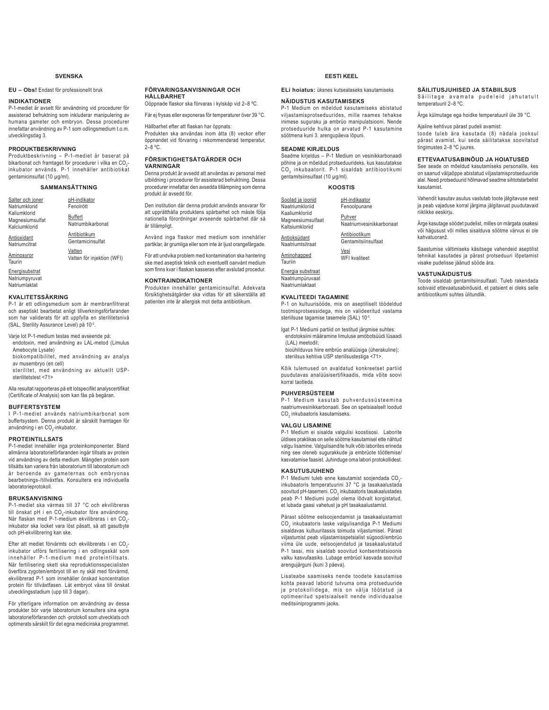### **SVENSKA**

### **EU – Obs!** Endast för professionellt bruk

### **INDIKATIONER**

P-1-mediet är avsett för användning vid procedurer för assisterad befruktning som inkluderar manipulering av humana gameter och embryon. Dessa procedurer innefattar användning av P-1 som odlingsmedium t.o.m. utvecklingsdag 3.

### **PRODUKTBESKRIVNING**

Produktbeskrivning – P-1-mediet är baserat på<br>bikarbonat och framtaget för procedurer i vilka en CO<sub>2</sub>inkubator används. P-1 innehåller antibiotikat gentamicinsulfat (10 μg/ml).

### **SAMMANSÄTTNING**

| Salter och joner                                 | pH-indikator                 |
|--------------------------------------------------|------------------------------|
| Natriumklorid                                    | Fenolrött                    |
| Kaliumklorid<br>Magnesiumsulfat<br>Kalciumklorid | Buffert<br>Natriumbikarbonat |
| Antioxidant                                      | Antibiotikum                 |
| Natriumcitrat                                    | Gentamicinsulfat             |
| Aminosyror                                       | Vatten                       |
| Taurin                                           | Vatten för injektion (WFI)   |

**Energisubstrat** Natriumpyruvat Natriumlaktat

### **KVALITETSSÄKRING**

P-1 är ett odlingsmedium som är membranfiltrerat och aseptiskt bearbetat enligt tillverkningsförfaranden som har validerats för att uppfylla en sterilitetsnivå (SAL, Sterility Assurance Level) på 10-3.

Varje lot P-1-medium testas med avseende på: endotoxin, med användning av LAL-metod (Limulus Amebocyte Lysate)

 biokompatibilitet, med användning av analys av musembryo (en cell)

 sterilitet, med användning av aktuellt USPsterilitetstest <71>

Alla resultat rapporteras på ett lotspecifikt analyscertifikat (Certificate of Analysis) som kan fås på begäran.

### **BUFFERTSYSTEM**

I P-1-mediet används natriumbikarbonat som buffertsystem. Denna produkt är särskilt framtagen för användning i en CO<sub>2</sub>-inkubator.

### **PROTEINTILLSATS**

P-1-mediet innehåller inga proteinkomponenter. Bland allmänna laboratorieförfaranden ingår tillsats av protein vid användning av detta medium. Mängden protein som tillsätts kan variera från laboratorium till laboratorium och är beroende av gameternas och embryonas bearbetnings-/tillväxtfas. Konsultera era individuella laboratorieprotokoll.

### **BRUKSANVISNING**

P-1-mediet ska värmas till 37 °C och ekvilibreras till önskat pH i en CO<sub>2</sub>-inkubator före användning.<br>När flaskan med P-1-medium ekvilibreras i en CO<sub>2</sub>inkubator ska locket vara löst påsatt, så att gasutbyte och pH-ekvilibrering kan ske.

Efter att mediet förvärmts och ekvilibrerats i en CO<sub>2</sub>inkubator utförs fertilisering i en odlingsskål som innehåller P-1-medium med proteintillsats. När fertilisering skett ska reproduktionsspecialisten överföra zygoten/embryot till en ny skål med förvärmd, ekvilibrerad P-1 som innehåller önskad koncentration protein för tillväxtfasen. Låt embryot växa till önskat utvecklingsstadium (upp till 3 dagar).

För ytterligare information om användning av dessa produkter bör varje laboratorium konsultera sina egna laboratorieförfaranden och -protokoll som utvecklats och optimerats särskilt för det egna medicinska programmet.

### **FÖRVARINGSANVISNINGAR OCH HÅLLBARHET**

Oöppnade flaskor ska förvaras i kylskåp vid 2–8 ºC. Får ej frysas eller exponeras för temperaturer över 39 °C.

### Hållbarhet efter att flaskan har öppnats:

Produkten ska användas inom åtta (8) veckor efter öppnandet vid förvaring i rekommenderad temperatur,  $2-8$  °C.

### **FÖRSIKTIGHETSÅTGÄRDER OCH VARNINGAR**

Denna produkt är avsedd att användas av personal med utbildning i procedurer för assisterad befruktning. Dessa procedurer innefattar den avsedda tillämpning som denna produkt är avsedd för.

Den institution där denna produkt används ansvarar för att upprätthålla produktens spårbarhet och måste följa nationella förordningar avseende spårbarhet där så är tillämpligt.

Använd inga flaskor med medium som innehåller partiklar, är grumliga eller som inte är ljust orangefärgade.

För att undvika problem med kontamination ska hantering ske med aseptisk teknik och eventuellt oanvänt medium som finns kvar i flaskan kasseras efter avslutad procedur.

### **KONTRAINDIKATIONER**

Produkten innehåller gentamicinsulfat. Adekvata försiktighetsåtgärder ska vidtas för att säkerställa att patienten inte är allergisk mot detta antibiotikum.

### **EESTI KEEL**

**ELi hoiatus:** üksnes kutsealaseks kasutamiseks

### **NÄIDUSTUS KASUTAMISEKS**

P-1 Medium on mõeldud kasutamiseks abistatud viljastamisprotseduurides, mille raames tehakse inimese suguraku ja embrüo manipulatsiooni. Nende protseduuride hulka on arvatud P-1 kasutamine söötmena kuni 3. arengupäeva lõpuni.

### **SEADME KIRJELDUS**

Seadme kirjeldus – P-1 Medium on vesinikkarbonaadi põhine ja on mõeldud protseduurideks, kus kasutatakse  $\mathtt{CO}_2$  inkubaatorit. P-1 sisaldab antibiootikumi gentamitsiinsulfaat (10 μg/ml).

### **KOOSTIS**

| Soolad ja ioonid                                       | pH-indikaator                      |
|--------------------------------------------------------|------------------------------------|
| Naatriumkloriid                                        | Fenoolpunane                       |
| Kaaliumkloriid<br>Magneesiumsulfaat<br>Kaltsiumkloriid | Puhver<br>Naatriumvesinikkarbonaat |
| Antioksüdant                                           | Antibiootikum                      |
| Naatriumtsitraat                                       | Gentamitsiinsulfaat                |
| Aminohapped                                            | Vesi                               |
| Tauriin                                                | WFI kvaliteet                      |
|                                                        |                                    |

Energia substraat Naatriumpüruvaat Naatriumlaktaat

### **KVALITEEDI TAGAMINE**

P-1 on kultuurisööde, mis on aseptiliselt töödeldud tootmisprotsessidega, mis on valideeritud vastama steriilsuse tagamise tasemele (SAL) 10-3.

Igat P-1 Mediumi partiid on testitud järgmise suhtes: endotoksiini määramine limuluse amöbotsüüdi lüsaadi (LAL) meetodil;

bioühilduvus hiire embrüo analüüsiga (üherakuline); steriilsus kehtiva USP steriilsustestiga <71>.

Kõik tulemused on avaldatud konkreetset partiid puudutavas analüüsisertifikaadis, mida võite soovi korral taotleda.

### **PUHVERSÜSTEEM**

P-1 Medium kasutab puhverdussüsteemina naatriumvesinikkarbonaati. See on spetsiaalselt loodud  $\mathsf{CO}_2$  inkubaatoris kasutamiseks.

### **VALGU LISAMINE**

P-1 Medium ei sisalda valgulisi koostisosi. Laborite üldises praktikas on selle söötme kasutamisel ette nähtud valgu lisamine. Valgulisandite hulk võib laborites erineda ning see oleneb sugurakkude ja embrüote töötlemise/ kasvatamise faasist. Juhinduge oma labori protokollidest.

### **KASUTUSJUHEND**

P-1 Mediumi tuleb enne kasutamist soojendada CO<sub>2</sub>inkubaatoris temperatuurini 37 °C ja tasakaalustada soovitud pH-tasemeni. CO $_2$  inkubaatoris tasakaalustades peab P-1 Mediumi pudel olema lõdvalt korgistatud, et lubada gaasi vahetust ja pH tasakaalustamist.

Pärast söötme eelsoojendamist ja tasakaalustamist  $\textsf{CO}_2$  inkubaatoris laske valgulisandiga P-1 Mediumi sisaldavas kultuuritassis toimuda viljastumisel. Pärast viljastumist peab viljastamisspetsialist sügoodi/embrüo viima üle uude, eelsoojendatud ja tasakaalustatud P-1 tassi, mis sisaldab soovitud kontsentratsioonis valku kasvufaasiks. Lubage embrüol kasvada soovitud arengujärguni (kuni 3 päeva).

Lisateabe saamiseks nende toodete kasutamise kohta peavad laborid tutvuma oma protseduuride ja protokollidega, mis on välja töötatud ja optimeeritud spetsiaalselt nende individuaalse meditsiiniprogrammi jaoks.

**SÄILITUSJUHISED JA STABIILSUS** Säilitage avamata pudeleid jahutatult temperatuuril 2–8 ºC.

Ärge külmutage ega hoidke temperatuuril üle 39 °C.

Ajaline kehtivus pärast pudeli avamist:

toode tuleb ära kasutada (8) nädala jooksul pärast avamist, kui seda säilitatakse soovitatud tingimustes 2–8 ºC juures.

### **ETTEVAATUSABINÕUD JA HOIATUSED**

See seade on mõeldud kasutamiseks personalile, kes on saanud väljaõppe abistatud viljastamisprotseduuride alal. Need protseduurid hõlmavad seadme sihtotstarbelist kasutamist.

Vahendit kasutav asutus vastutab toote jälgitavuse eest ja peab vajaduse korral järgima jälgitavust puudutavaid riiklikke eeskirju.

Ärge kasutage söödet pudelist, milles on märgata osakesi või hägusust või milles sisalduva söötme värvus ei ole kahvatuoranž

Saastumise vältimiseks käsitsege vahendeid aseptilist tehnikat kasutades ja pärast protseduuri lõpetamist visake pudelisse jäänud sööde ära.

### **VASTUNÄIDUSTUS**

Toode sisaldab gentamitsiinsulfaati. Tuleb rakendada sobivaid ettevaatusabinõusid, et patsient ei oleks selle antibiootikumi suhtes ülitundlik.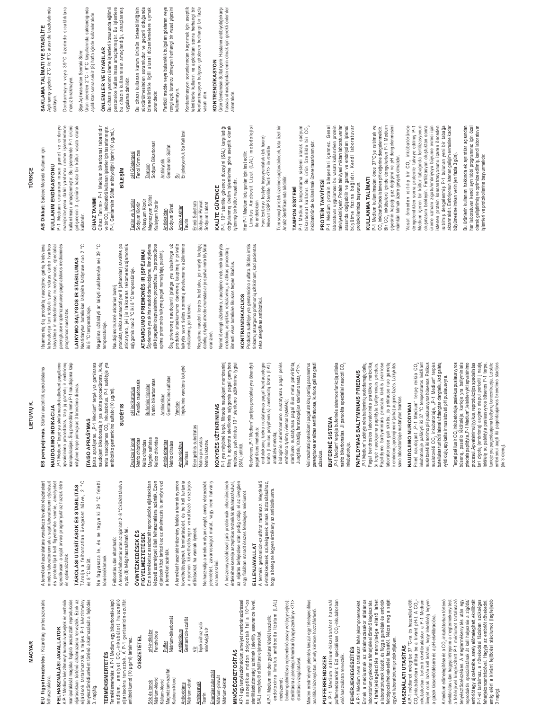**MAGYAR**

EU figyelmeztetés: Kizárólag professzionális **EU figyelmeztetés:** Kizárólag professzionális felhasználásra. felhasználásra.

## FELHASZNÁLÁSI JAVALLATOK **FELHASZNÁLÁSI JAVALLATOK**

manipulálását magába foglaló asszisztált reprodukciós<br>eljárásokban történő alkalmazásra tervezték. Ezek az<br>eljárások tartalmazzák a teljes P-1 készítmény A P-1 Medium készítményt humán ivarsejtek és embriók manipulálását magába foglaló asszisztált reprodukciós eljárásokban történő alkalmazásra tervezték. Ezek az A P-1 Medium készítményt humán ivarsejtek és embriók

3. napjáig.

**TERMÉKISMERTETÉS**

**TERMÉKISMERTETÉS** 

Termékismertetés: A P-1 Medium egy bikarbonát-alapú médium, amelyet CO<sub>2</sub>-inkubátort használó eljárásokra terveztek. A P-1 gentamicin-szulfát

Termékismertetés: A P-1 Medium egy bikarbonát-alapú<br>médium, amelyet CO<sub>s</sub>-inkubátort használó<br>eljárásokra terveztek. A P-1 gentamicín-szulfát

antibiotikumot (10 μg/ml) tartalmaz.

antibiotikumot (10 µg/ml) tartalmaz.

**ÖSSZETÉTEL**

**ÖSSZETÉTEL** 

Sók és ionok Nátrium-klorid Kálium-klorid Magnézium-szulfát Kalcium-klorid Antioxidáns Nátrium-citrát Aminosavak Taurin Energiaszubsztrát Nátrium-piruvát Nátrium-laktát

Sók és ionok<br>Nátrium-klorid<br>Kálium-klorid

Magnézium-szulfát<br>Kalcium-klorid

pH-indikátor Fenolvörös <u>Puffer</u><br>Nátrium-bikarbonát Nátrium-bikarbonát Antibiotikum Gentamicin-szulfát <u>Víz</u><br>Injekcióhoz való Injekcióhoz való minőségű víz

pH-indikátor Fenolvörös

## Tárolja a felbontatlan üvegeket hűtve, 2 °C<br>és 8 °C között. Tárolja a felbontatlan üvegeket hűtve, 2 °C és 8 °C között. eljárások tartalmazzák a teljes P-1 készítmény tenyésztőmédiumként történő alkalmazását a fejlődés tenyésztőmédiumként történő alkalmazását a fejlődés

**TÁROLÁSI UTASÍTÁSOK ÉS STABILITÁS**

TÁROLÁSI UTASÍTÁSOK ÉS STABILITÁS

és optimalizáltak.

specifikusan a saját orvosi programjukhoz hoztak létre<br>és optimalizáltak.

Ne fagyassza le, és ne tegye ki 39 °C feletti fagyassza le, és ne tegye ki 39 °C feletti hömérsékletnek. hömérsékletnek.  $\frac{1}{2}$ 

### A termék felbontás után az ajánlott 2–8 °C között tárolva Felbontás után eltartható: Felbontás után eltartható:

nyolc (8) hétig használható fel. nyolc (8) hétig használható fel.

### FIGYELMEZTETÉSEK<br>Ezta terméket az asszisztált reprodukciós eljárásokban<br>képzett személyzet általi felhasználásra szánták. Ezen Ezt a terméket az asszisztált reprodukciós eljárásokban **ÓVINTÉZKEDÉSEK ÉS ÓVINTÉZKEDÉSEK ÉS FIGYELMEZTETÉSEK**

képzett személyzet általi felhasználásra szánták. Ezen eljárások közé tartozik az az alkalmazás is, amelyre ezt eljárások közé tartozik az az alkalmazás is, amelyre ezt a terméket szánták. a terméket szánták.

A terméket használó intézmény felelős a termék nyomon<br>követhetőségének fenntartásáért, és be kell tartania A terméket használó intézmény felelős a termék nyomon követhetőségének fenntartásáért, és be kell tartania a nyomon követhetőségre vonatkozó országos a nyomon követhetőségre vonatkozó országos előírásokat, ha vannak ilyenek. előírásokat, ha vannak ilyenek.

Antibiotikum<br>Gentamicin-szulfát

Antioxidáns<br>Nátrium-citrát

Aminosavak

minőségű víz

Energiaszubsztrát

Nátrium-piruvál Nátrium-laktát

Ne használja a médium olyan üvegét, amely részecskék jelenlétét, zavarosságot mutat, vagy nem halvány Ne használja a médium olyan üvegét, amely részecskék jelenlétét, zavarosságot mutat, vagy nem halvány harancsszínű. narancsszínű.

A beszennyeződéssel járó problémák elkerülésének az eljárás befejezése után pedig dobja el az üvegben érdekében kezelje aszeptikus technikák alkalmazásával, az eljárás befejezése után pedig dobja el az üvegben<br>vagy fiolában maradt összes felesleges médiumot. A beszennyeződéssel járó problémák elkerülésének érdekében kezelje aszeptikus technikák alkalmazásával vagy fiolában maradt összes felesleges médiumot.

**MINÓSÉGBIZTOSÍTÁS** 

**MINÓSÉGBIZTOSÍTÁS** 

A P-1 egy tenyésztőmédium, amelyet membránszűréssel és aszeptikus módon dolgoztak fel a 10-3-os sterilitásbiztonsági szintnek (sterility assurance level, SAL) megfelelő előállítási eljárásokkal. A P-1 Medium minden gyártási tételét tesztelik: endotoxinra limulus amõbocita lizátum (LAL)

sterilitásbiztonsági szintnek (sterility assurance level,<br>SAL) megfelelő előállítási eljárásokkal.

A P-1 egy tenyésztőmédium, amelyet membránszűréssel és aszeptikus módon dolgoztak fel a 10<sup>-3</sup>-os

### ELLENJAVALLAT **ELLENJAVALLAT**

A termék gentamicin-szulfátot tartalmaz. Megfelelő<br>óvintézkedések szükségesek annak biztosításához,<br>hogy a beteg ne legyen érzékeny az antibiotikumra. A termék gentamicin-szulfátot tartalmaz. Megfelelő óvintézkedések szükségesek annak biztosításához, hogy a beteg ne legyen érzékeny az antibiotikumra.

módszerrel;

módszerrel;

biokompatibilitásra egérembrió assay-vel (egy sejtes); sterilitásra a jelenlegi Amerikai Gyógyszerkönyv <71>

biokompatibilitásra egérembrió assay-vel (egy sejtes)

sterilitásra a jelenlegi Amerikai Gyógyszerkönyv <71>

endotoxinra limulus amõbocita lizátum (LAL)

A P-1 Medium minden gyártási tételét tesztelik:

sterilitási vizsgálatával.

sterilitási vizsgálatával.

Vinden eredményről jelentés készül egy tételspecifikus analitikai bizonylaton, amely kérésre hozzáférhető.

analitikai bizonylaton, amely kérésre hozzáférhető

Minden eredményről jelentés készül egy tételspecifikus

**PUFFERRENDSZER**

**PUFFERRENDSZER** 

A P-1 Medium nátrium-bikarbonátot használ pufferrendszerként. Ezt speciálisan CO2-inkubátorban

A P-1 Medium nátrium-bikarbonátot használ<br>pufferrendszerként. Ezt speciálisan CO<sub>r</sub>-inkubátorban

való használatra tervezték. **FEHÉRJEKIEGÉSZÍTÉS**

való használatra tervezték.

**FEHÉRJEKIEGÉSZÍTÉS** 

A P-1 Medium nem tartalmaz fehérjekomponenseket. Ennek a médiumnak az alkalmazásakor általános laboratórium gyakorlat a fehérjékk el történő kiegészítés. A fehérjekiegészítés mennyisége eltérő lehet a laboratóriumok között, és függ a gaméták és embriók feldolgozási/növekedési fázisától. Nézze meg a saját

A P-1 Medium nem tartalmaz fehérjekomponenseket

Ennek a médiumnak az alkalmazásakor általános<br>laboratórium gyakorlata fehérjékkeltörténő kiegészítés.<br>A fehérjekiegészítés mennyisége eltérő lehet

egyéni laboratóriumi protokolljában. **HASZNÁLATI UTASÍTÁS**

egyéni laboratóriumi protokolljában. HASZNÁLATI UTASÍTÁS

a laboratóriumok között, és függ a gaméták és embriók<br>feldolgozási/növekedési fázisától. Nézze meg a saját

A P-1 médiumot melegítse 37 °C-ra, és használat előtt  $CO_2$ -inkubátorban állítsa be a kívánt pH-t. A  $CO_2$ inkubátorban történő ekvilibráláskor a P-1 Medium üvegét csak lazán kell lezárni, hogy lehetőség legyen a gázok kicserélődésére és a pH-ekvilibrációra. A médium előmelegítése és a CO,-inkubátorban történő ekvilibrálás után hagyja létrejönni a megtermékenyítést a fehérjével kiegészített P-1 médiumot tartalmazó tenyésztőcsészében. A megtermékenyítés után egy reproduktív specialistának át kell helyeznie a zigótát/ embriót egy új csészébe, amely előmelegített, ekvilibrált P-1-et tartalmaz, a növekedési fázisban szükséges fehérjekoncentrációval. Hagyja az embriót növekedni, amíg eléri a kívánt fejlődési stádiumot (legfeljebb P-1-et tartalmaz, a növekedési fázisban szükséges<br>fehérjekoncentrációval. Hagyja az embridt növekedni,<br>3 naig elén a kívánt fejlődési stádiumot (egfeljebb<br>3 naig

üvegét csak lazán kell lezárni, hogy lehetőség legyen<br>a gázok kicserélődésére és a pH-ekvilibrációra. A médium előmelegítése és a CO<sub>2</sub>-inkubátorban történő a fehérjével kiegészített P-1 médiumot tartalmazó

tenyésztőcsészében. A megtermékenyítés után egy<br>reproduktív specialistának át kell helyeznie a zigótát/

ekvilibrálás után hagyja létrejönni a megtermékenyítés

embriót egy új csészébe, amely előmelegített, ekvilibrált

ES perspéjimas. Skirta naudoti tik specialistams ES perspejimas. Skirta naudoti tik specialistams

**/,(789,Ǐ.**

LIETUVIŲ K.

A termékek használatára vonatkozó további részletekért minden laboratóriumnak a saját laboratóriumi eljárásait és protokolljait kell figyelembe vennie, amelyeket specifikusan a saját orvosi programjukhoz hoztak létre

A termékek használatára vonatkozó további részletekért

minden laboratóriumnak a saját laboratóriumi eljárásait

és protokolljait kell figyelembe vennie, amelyeket

## NAUDOJIMO INDIKACIJA **NAUDOJIMO INDIKACIJA**

P-1 Medium" terpé yra skirta naudoti atliekant pagalbinio "P-1 Medium" terpė yra skirta naudoti atliekant pagalbinio wie in die gestellte die staat van die gestelling van die gestellte van die gestellte van die gestellte van die gestellte van die gestellte van die gestellte van die gestellte van die gestellte van die gestellte van die ge apvaisinimo procedūras, tarp jų gametų ir embrionų manipuliacijas. Šių procedūrų metu P-1 naudojama kaip mitybinė terpė pirmąsias 3 brendimo dienas. mitybinė terpė pirmąsias 3 brendimo dienas.

### **ITAISO APRAŠYMAS TAISO APRAŠYMAS**

[taiso aprašymas. ,}>1 Međium\* terpė yra gaminama<br>naudojant bikarbonatą ir yra skirta procedūroms, kurių<br>ambiotiko gentamicino sulfato (10 µg/m),<br>ambiotiko gentamicino sulfato (10 µg/m), naudojant bikarbonatą ir yra skirta procedūroms, kurių metu naudojamas CO<sub>2</sub> inkubatorius. P-1 sudėtyje yra antibiotiko gentamicino sulfato (10 μg/ml).

taiso aprašymas. "P-1 Medium" terpė yra gaminama

### **68'Ơ7,6**

| Druskos ir jonai | pH indikatorius                     |
|------------------|-------------------------------------|
| Natrio chloridas | Fenolio raudonasis                  |
| Kalio chloridas  |                                     |
| Magnio sulfatas  | <b>Buferinis tirpalas</b>           |
| Kalcio chloridas | Natrio bikarbonatas                 |
| Antioksidantas   | Antibiotikas                        |
| Natrio citratas  | Gentamicino sulfatas                |
| Aminorūgštys     | Iniokoinio vandone kokuho<br>Vanduo |

### Energetinis substratas Energetinis substratas Aminorūgštys<br>Taurinas

injekcinio vandens kokybė

Injekcinio vandens kokybė

Natrio piruvatas Natrio piruvatas Natrio laktatas Natrio laktatas

### KOKYBĖS UŽTIKRINIMAS KOKYBĖS UŽTIKRINIMAS

P-1 yra mitybinė terpė, filtruota naudojant membraninį<br>filtrą ir apdorota steriliomis są́lygomis pagal gamybos<br>(SAD)atlikti.<br>(SAD)atlikti. Filtrą ir apdorota steriliomis sąlygomis pagal gamybos metodus, patvirtintus 10<sup>-3</sup> sterilumo užtikrinimo lygiui (SAL) atitikti.

P-1 yra mitybinė terpė, filtruota naudojant membraninį

Kiekvienos "P-1 Medium" partijos produktai yra išbandyti Kiekvienos "P-1 Medium" partijos produktai yra išbandyti endotoksinų kiekio nustatymas pagal kardauodegio endotoksinų kiekio nustatymas pagal kardauodegio pagal šiuos metodus: pagal šiuos metodus:

krabo (Limulus polyphemus) amebocitų lizato (LAL) biologinio suderinamumo nustatymas pagal pelės krabo (Limulus polyphemus) amebocity lizato (LAL) biologinio suderinamumo nustatymas pagal pelės analizės metodą; analizės metodą;

sterilumo nustatymas pagal šiuo metu patvirtintą<br>Jungtinių Valstijų farmakopėjos sterilumo testą <71>. sterilumo nustatymas pagal šiuo metu patvirtintą Jungtinių Valstijų farmakopėjos sterilumo testą <71>. embriono tyrimą (vienos ląstelės); embriono tyrimą (vienos ląstelės);

Visi rezultatai pateikiami pagal atskirų partijų parametrus Visi rezultatai pateikiami pagal atskirų partijų parametrus parengtuose analizės sertifikatuose, kuriuos galima gauti parengtuose analizės sertifikatuose, kuriuos galima gaut užsakius.

### BUFERINE SISTEMA **BUFERINE SISTEMA**

"P-1 Medium" terpėje buferinės sistemos funkciją atlieka .P-1 Medium" terpėje buferinės sistemos funkciją atlieka natrio bikarbonatas. Ji paruošta specialiai naudoti CO $_2$ natrio bikarbonatas. Ji paruošta specialiai naudoti CO inkubatoriuje. inkubatoriuje.

## PAPILDYMAS BALTYMINIAIS PRIEDAIS **PAPILDYMAS BALTYMINIAIS PRIEDAIS**

"P-1 Medium" sudėtyje nėra baltyminių sudedamųjų dalių. Pagal bendrosios laboratorinės praktikos metodiką<br>ši terpė naudojama papildyta baltyminiais priedais. Pagal bendrosios laboratorinės praktikos metodiką ši terpė naudojama papildyta baltyminiais priedais. Papildymo baltyminiais priedais kiekis įvairiose Papildymo baltyminiais priedais kiekis įvairiose laboratorijose gali skirtis; jis priklauso nuo gametų<br>ir embrionų apdorojimo ir (arba) augimo fazės. Laikykitės laboratorijose gali skirtis; jis priklauso nuo gametų ir embrionų apdorojimo ir (arba) augimo fazės. Laikykitės P-1 Medium" sudėtyje nėra baltyminių sudedamųjų dalių savo laboratorijoje nustatytos tvarkos. savo laboratorijoje nustatytos tvarkos.

### NAUDOJIMO NURODYMAI **NAUDOJIMO NURODYMAI**

inkubatoriuje pašildyti iki 37 °C temperatūros leidžiant inkubatoriuje pašildyti iki 37 °C temperatūros leidžiant nusistovėti iki norimo pH pusiausvyros būsenos. Palikus nusistoveti iki norimo pH pusiausvyros būsenos. Palikus nusistovéti CO<sub>2</sub> inkubatoriuje, "P-1 Medium" terpés buteliukas turi būti laisvai uždengtas dangteliu, kad galėtų buteliukas turi būti laisvai uždengtas dangteliu, kad galėtų Prieš naudojant "P-1 Medium" terpę reikia CO<sub>2</sub> nusistovéti CO<sub>2</sub> inkubatoriuje, "P-1 Medium" terpés Prieš naudojant "P-1 Medium" terpę reikia CO. vykti dujų apykaita ir nusistovėti pH pusiausvyra. yykti dujų apykaita ir nusistovėti pH pusiausvyra.

būseną, pasėlio lėkštelėje, kurioje yra baltyminiais<br>priedais papildyta "P-1 Medium", leiskite vykti apvaisinimo iekštelę su pašildyta pusiausvyros būsenos P-1 terpe,<br>kurioje yra pageidaujama baltynų koncentracija. Leiskite<br>embrionui augti iki pageidaujamos brendimo stadijos Terpei pašilus ir CO<sub>2</sub> inkubatoriuje pasiekus pusiausvyros būseną, pasėlio lėkštelėje, kurioje yra baltyminiais priedais papildyta "P-1 Medium", leiskite vykti apvaisinimo procesui. Apvaisinimui įvykus, reprodukcijos specialistas procesui. Apvaisinimui įvykus, reprodukcijos specialistas zigotą (embrioną) augimo etapui perkelti į naują turi zigotą (embrioną) augimo etapui perkelti į naują lekštelę su pašildyta pusiausvyros būsenos P-1 terpe, kurioje yra pageidaujama baltymų koncentracija. Leiskite embrionui augti iki pageidaujamos brendimo stadijos ferpei pašilus ir CO, inkubatoriuje pasiekus pusiausvyros (iki 3 dienų).

Išsamesnių šių produktų naudojimo gairių kiekviena šsamesnių šių produktų naudojimo gairių kiekviena aboratorija turi ieškoti savo vidaus darbo tvarkos aboratorija turi ieškoti savo vidaus darbo tvarkos taisyklėse ir metodiniuose nurodymuose, specialiai oarengtuose ir optimizuotuose pagal atskiros medicininės taisyklėse ir metodiniuose nurodymuose, specialiai paréngtuose ir optimizuotuose pagal atskiros medicininės<br>programos nuostatas. programos nuostatas.

## LAIKYMO SĄLYGOS IR STABILUMAS LAIKYMO SALYGOS IR STABILUMAS

Neatidarytus buteliukus laikykite šaldytuve nuo 2 °C Neatidarytus buteliukus laikykite šaldytuve nuo 2 °C iki 8 °C temperatūroje. ki8 °C temperatūroje.

Negalima užšaldyti ar laikyti aukštesnėje nei 39 °C Negalima užšaldyti ar laikyti aukštesnėje nei 39 °C temperatūroje. temperatūroje.

oroduktą reikia sunaudoti per 8 (aštuonias) savaites po atidarymo, jei jis laikomas rekomenduojamomis<br>sąlygomis nuo 2 °C iki 8 °C temperatūroje. atidarymo, jei jis laikomas rekomenduojamomis produktą reikia sunaudoti per 8 (aštuonias) savaites po sąlygomis nuo 2 °C iki 8 °C temperatūroje. Naudojimo trukmė atidarius butelį Naudojimo trukmė atidarius butelį

Ši priemonė yra skirta naudoti darbuotojams, išmokytiems<br>atlikti pagalbinio apvaisinimo procedūras. Tos procedūros Ŝi priemonė yra skirta naudoti darbuotojams, išmokytiems atlikti pagalbinio apvaisinimo procedūras. Tos procedūros ATSARGUMO PRIEMONES IR ĮSPĖJIMAI apima priemonės taikymą pagal numatytąją paskirtį. AT SARGUMO PRIEMONES IR ISPEJIMAI apima priemonės taikymą pagal numatytąją paskirtį. Šią priemonę naudojanti įstaiga yra atsakinga už Šią priemonę naudojanti įstaiga yra atsakinga už produkto atsekamumo duomenų kaupimą ir privalo orodukto atsekamumo duomenų kaupimą ir privalo aikytis savo šalies norminių atsekamumo užtikrinimo laikytis savo šalies norminių atsekamumo užtikrinimo reikalavimų, jei taikoma. 'eikalavimų, jei taikoma.

Negalima naudoti terpės buteliuko, jei matyti kietųjų dalelių, skystis atrodo drumstas ar jo spalva nėra blyškiai Negalima naudoti terpės buteliuko, jei matyti kietųjų dalelių, skystis atrodo drumstas ar jo spalva nėra blyškia oranžinė.

Norint išvengti užkrėtimo, naudojimo metu reikia laikytis Norint išvengti užkrėtimo, naudojimo metu reikia laikytis metodinių aseptikos reikalavimų, o atlikus procedūrą – metodinių aseptikos reikalavimų, o atlikus procedūrą išmesti visus buteliuke likusios terpės likučius. šmesti visus buteliuke likusios terpės likučius.

### **KONTRAINDIKACIJOS KONTRAINDIKACIJOS**

Produkto sudėtyje yra gentamicino sulfato. Būtina imtis<br>tinkamų atsargumo priemonių užtikrinant, kad pacientas Produkto sudėtyje yra gentamicino sulfato. Būtina imtis tinkamų atsargumo priemonių užtikrinant, kad pacientas néra alergiškas antibiotikui. néra alergiškas antibiotikui

### AB Dikkat: Sadece Mesleki Kullanım için **AB Dikkat:** Sadece Mesleki Kullanım için **TÜRKÇE**

## KULLANIM ENDİKASYONU KULLANIM ENDİKASYONU

P-1 Medium ürününün insan gamet ve embriyo<br>manipülasyonu dahil yardımcı üreme işlemlerinde<br>kullanılması amaçlanmıştır. Bu işlemlerde P-1 ürünü P-1 Medium ürününün insan gamet ve embriyo manipülasyonu dahil yardımcı üreme işlemlerinde kullanılması amaçlanmıştır. Bu işlemlerde P-1 ürünü gelişmenin 3. gününe kadar bir kültür vasatı olarak gelişmenin 3. gününe kadar bir kültür vasatı olarak<br>Kullanılır.

### CİHAZ TANIMI **CIHAZ TANIMI**

Cihaz Tanımı- P-1 Medium bikarbonat tabanlıdır<br>vebir CO<sub>s</sub> inkübatörü kullanan işlemler için tasarlarmıştır.<br>P-1, Gentamisin Sülfat antibiyotiğini içerir (10 µg/mL). Cihaz Tanımı- P-1 Medium bikarbonat tabanlıdır ve bir CO<sub>2</sub> inkübatörü kullanan işlemler için tasarlanmıştır.

## **B**iLESIM

P-1, Gentamisin Sülfat antibiyotiğini içerir (10 µg/mL).

| pH Göstergesi     | Fenol Kirmizisi | Sodyum Bikarbonat<br>lampon | Gentamisin Sülfat<br>Antibiyotik | Enjeksiyonluk Su Kalitesi<br>å |                  |
|-------------------|-----------------|-----------------------------|----------------------------------|--------------------------------|------------------|
| Tuzlar ve İyonlar | Potasyum Klorür | Magnezyum Sülfat            | Sodyum Sitrat                    | <b>Amino Asitler</b>           | Sodyum Piruvat   |
|                   | Sodyum Klorür   | Kalsiyum Klorür             | Antioksidan                      | Taurin                         | Enerji Substratı |

zorundadır.

zorundadır.

### P-1, 10<sup>-3</sup> sterilite güvence düzeyini (SAL) karşıladığı KALITE GÜVENCE KALITE GÜVENCE Sodyum Laktat Sodyum Laktat

a Inmalidir. P-1, 10<sup>-3</sup> sterilite güvence düzeyini (SAL) karşıladığı<br>doğrulanmış üretim işlemlerine göre aseptik olarak doğrulanmış üretim işlemlerine göre aseptik olarak işlenmiş bir kültür vasatıdır. işlenmiş bir kültür vasatıdır.

Limulus Amebosit Lizat (LAL) metodolojisi Her P-1 Medium lotu şunlar için test edilir: Her P-1 Medium lotu şunlar için test edilir:

Fare Embriyo Testiyle biyouyumluluk (tek hücre) Fare Embriyo Testiyle biyouyumluluk (tek hücre) Mevcut USP Sterilite Testi <71> ile sterilite Mevcut USP Sterilite Testi <71> ile sterilite ile endotoksin

Tüm sonuçlar istek üzerine sağlanabilecek, lota özel bir Tüm sonuçlar istek üzerine sağlanabilecek, lota özel bir<br>Analiz Sertifikasında bildirilir. Analiz Sertifikasında bildirilir.

### **TAMPON SISTEMI 7AMPON SISTEMI**

P-1 Medium tamponlama sistemi olarak sodyum<br>bikarbonat kullanır. Bu ürün özellikle bir CO<sub>2</sub> P-1 Medium tamponlama sistemi olarak sodyum bikarbonat kullanır. Bu ürün özellikle bir CO $_2$ inkübatöründe kullanılmak üzere tasarlanmıştır. inkübatöründe kullanılmak üzere tasarlanmıştır.

### PROTEIN TAKVIYESİ **PROTEIN TAKVIYESI**

Genel P-1 Medium protein bileşenleri içermez. Genel laboratuvar uygulaması bu vasatı kullanırken protein takviyesini içerir. Protein takviyesi miktarı laboratuvarlar<br>arasında değişebilir ve gamet ve embriyoları işleme/<br>büyütme fazına bağlıdır. Kendi laboratuvar takviyesini içerir. Protein takviyesi miktarı laboratuvarlar büyütme fazına bağlıdır. Kendi laboratuvar laboratuvar uygulaması bu vasatı kullanırken protein arasında değişebilir ve gamet ve embriyoları işleme/ P-1 Medium protein bileşenleri içermez. protokollerinize başvurun. protokollerinize başvurun.

### KULLANMA TALIMATI KULLANMA TALİMATI

P-1 Medium kullanılmadan önce 37°C'ye ıstılmalı ve<br>CO, inkübatöründe istenenpH değerine dengelenmelidir.<br>Bir CO, inkübatörü içinde dengelerken P-1 Medium ye **usitilmal**l ve Bir CO2 inkübatörü içinde dengelerken P-1 Medium sişesinin kapağı gaz değişimi ve pH dengelenmesini şişesinin kapağı gaz değişimi ve pH dengelenmesini<br>mümkün kılmak üzere gevşek olmalıdır. CO<sub>2</sub> inkübatöründe istenen pH değerine dengelenmelidir. P-1 Medium kullanılmadan önce 37°C mümkün kılmak üzere gevşek olmalıdır.

üreme uzmanı zigotulembriyoyu büyüme evresi için<br>istenen protein konsantrasyonunu içeren önceden<br>istenen protein konsantrasyonunu içeren önceden<br>aktarmalıdır. Embriyoniy i stenen gelişim evresine kadar Vasat önceden ısıtılıp bir CO<sub>2</sub> inkübatöründe dengelendikten sonra proteinle takviye edilmiş P-1<br>Medium içeren bir kültür tabağında fertilizasyonun dengelendikten sonra proteinle takviye edilmiş P-1 Medium içeren bir kültür tabağında fertilizasyonun oluşmasını bekleyin. Fertilizasyon oluştuktan sonra üreme uzmanı zigotu/embriyoyu büyüme evresi için istenen protein konsantrasyonunu içeren önceden ısıtılmış dengelenmiş P-1 bulunan yeni bir tabağa aktarmalıdır. Embriyonun istenen gelişim evresine kadar Vasat önceden ısıtılıp bir CO<sub>2</sub> inkübatöründe oluşmasını bekleyin. Fertilizasyon oluştuktan sonra büyümesine imkan verin (en fazla 3 gün). büyümesine imkan verin (en fazla 3 gün). Bu ürünlerin kullanımı hakkında ek ayrıntılar açısından<br>her laboratuvar kendi ayrı tıbbi programınız için özel<br>olarak geliştirilmiş ve optimize edilmiş, kendi laboratuvar Bu ürünlerin kullanımı hakkında ek ayrıntılar açısından her laboratuvar kendi ayrı tıbbi programınız için özel olarak geliştirilmiş ve optimize edilmiş, kendi laboratuvar işlemleri ve protokollerine başvurmalıdır. işlemleri ve protokollerine başvurmalıdır.

## SAKLAMA TALIMATI VE STABILITE **6 AKLAMA TALIMATI VE STABILITE**

Açılmamış şişeleri 2°C ile 8°C arasında buzdolabında Açılmamış şişeleri 2°C ile 8°C arasında buzdolabında aklavın.

Dondurmayın veya 39°C üzerinde sıcaklıklara Dondurmayın veya 39°C üzerinde sıcaklıklara maruz bırakmayın.

Şişe Açılmasından Sonraki Süre:<br>Ürün önerilen 2°C - 8°C koşullarında saklandığında Ürün önerilen 2°C - 8°C koşullarında saklandığında Şişe Açılmasından Sonraki Süre: maruz bırakmayın.

## açıldıktan sonra sekiz (8) hafta içinde kullanılmalıdır. açıldıktan sonra sekiz (8) hafta içinde kullanılmalıdır.

### Bu cihazın yardımcı üreme işlemleri konusunda eğitimli Bu cihazın yardımcı üreme işlemleri konusunda eğitimli ÖNLEMLER VE UYARILAR **ÖNLEMLER VE UYARILAR**

personelce kullanılması amaçlanmıştır. Bu işlemlere<br>bu cihazın kullanımının amaçlandığı, amaçlanmış oersonelce kullanılması amaçlanmıştır. Bu işlemlere ou cihazın kullanımının amaçlandığı, amaçlanmış

uygulama dahildir.

uygulama dahildir.

sürdürülmesinden sorumludur ve geçerli olduğunda<br>izlenebilirlikle ilgili ulusal düzenlemelere uymak Bu cihazı kullanan kurum ürünün izlenebilirliğinin 3u cihazı kullanan kurum ürünün izlenebilirliğinin sürdürülmesinden sorumludur ve geçerli olduğunda zlenebilirlikle ilgili ulusal düzenlemelere uymak Partikül madde veya bulanıklık bulguları gösteren veya<br>rengi açık turuncu olmayan herhangi bir vasat şişesini Partikül madde veya bulanıklık bulguları gösteren veya engi açık turuncu olmayan herhangi bir vasat şişesini kullanmayın.

kullanmayın.

tekniklerle kullanın ve açıldıktan sonra herhangi bir<br>kontaminasyon bulgusu gösteren herhangi bir<br>kontaminasyon bulgusu gösteren herhangi bir fazla Kontaminasyon sorunlarından kaçınmak için aseptik Kontaminasyon sorunlarından kaçınmak için aseptik tekniklerle kullanın ve açıldıktan sonra herhangi bir kontaminasyon bulgusu gösteren herhangi bir fazla vasatı atın. vasatı atın.

### **CONTRENDIKASYON KONTRENDIKASYON**

Ürün Gentamisin Sülfat içerir. Hastanın antibiyotiğe karşı nassas olmadığından emin olmak için gerekli önlemler Ürün Gentamisin Sülfat içerir. Hastanın antibiyotiğe karşı hassas olmadığından emin olmak için gerekli önlemler<br>alınmalıdır.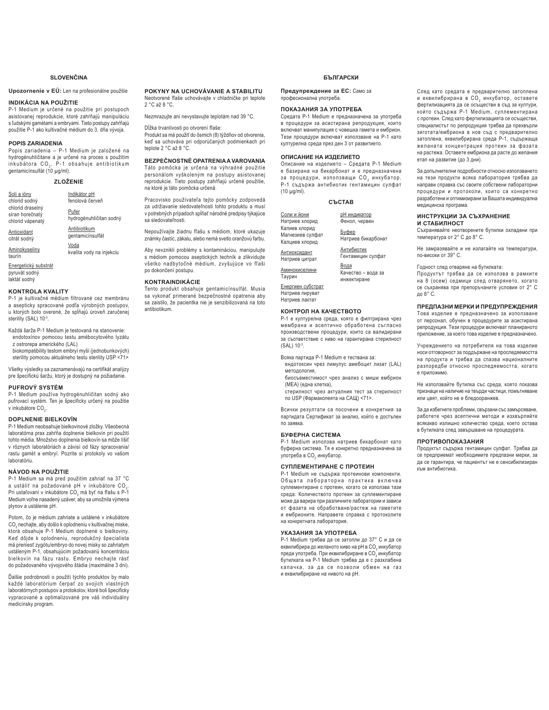### **SI OVENČINA**

**Upozornenie v EÚ:** Len na profesionálne použitie

### **INDIKÁCIA NA POUŽITIE**

P-1 Medium je určené na použitie pri postupoch asistovanej reprodukcie, ktoré zahŕňajú manipuláciu s ľudskými gamétami a embryami. Tieto postupy zahŕňajú použitie P-1 ako kultivačné médium do 3. dňa vývoja.

### **POPIS ZARIADENIA**

Popis zariadenia - P-1 Medium je založené na hydrogénuhličitane a je určené na proces s použitím<br>inkubátora CO<sub>2</sub>. P–1 obsahuje antibiotikum gentamicínsulfát (10 μg/ml).

### $ZLOŽENIE$

| Soli a ióny                                             | Indikátor pH                     |
|---------------------------------------------------------|----------------------------------|
| chlorid sodný                                           | fenolová červeň                  |
| chlorid draselný<br>síran horečnatý<br>chlorid vápenatý | Pufer<br>hydrogénuhličitan sodný |
| <b>Antioxidant</b>                                      | Antibiotikum                     |

gentamicínsulfát Voda

Aminokyseliny taurín kvalita vody na injekciu

Energetický substrát pyruvát sodný laktát sodný

citrát sodný

### **KONTROLA KVALITY**

P-1 je kultivačné médium filtrované cez membránu a asepticky spracované podľa výrobných postupov, u ktorých bolo overené, že spĺňajú úroveň zaručenej sterility (SAL) 10-3.

Každá šarža P-1 Medium je testovaná na stanovenie: endotoxínov pomocou testu amébocytového lyzátu z ostrorepa amerického (LAL)

biokompatibility testom embryí myší (jednobunkových) sterility pomocou aktuálneho testu sterility USP <71>

Všetky výsledky sa zaznamenávajú na certifikát analýzy pre špecifickú šaržu, ktorý je dostupný na požiadanie.

### **PUFROVÝ SYSTÉM**

P-1 Medium používa hydrogénuhličitan sodný ako pufrovací systém. Ten je špecificky určený na použitie v inkubátore CO<sub>2</sub>.

### **DOPLNENIE BIELKOVÍN**

P-1 Medium neobsahuje bielkovinové zložky. Všeobecná laboratórna prax zahŕňa doplnenie bielkovín pri použití tohto média. Množstvo doplnenia bielkovín sa môže líšiť v rôznych laboratóriách a závisí od fázy spracovania/ rastu gamét a embryí. Pozrite si protokoly vo vašom laboratóriu.

### **NÁVOD NA POUŽITIE**

P-1 Medium sa má pred použitím zahriať na 37 °C a ustáliť na požadované pH v inkubátore CO $_2$ . Pri ustaľovaní v inkubátore CO<sub>2</sub> má byť na fľašu s P-1 Medium voľne nasadený uzáver, aby sa umožnila výmena plynov a ustálenie pH.

Potom, čo je médium zahriate a ustálené v inkubátore CO $_2$ nechajte, aby došlo k oplodneniu v kultivačnej miske, ktorá obsahuje P-1 Medium doplnené o bielkoviny. Keď dôjde k oplodneniu, reprodukčný špecialista má preniesť zygótu/embryo do novej misky so zahriatym ustáleným P-1, obsahujúcim požadovanú koncentráciu bielkovín na fázu rastu. Embryo nechajte rásť do požadovaného vývojového štádia (maximálne 3 dni).

Ďalšie podrobnosti o použití týchto produktov by malo každé laboratórium čerpať zo svojich vlastných Iahoratórnych nostunov a protokolov, ktoré boli špecificky Where the processes of processes, and the summary vypracované a optimalizované pre váš individuálny medicínsky program.

**POKYNY NA UCHOVÁVANIE A STABILITU** Neotvorené fľaše uchovávaite v chladničke pri teplote  $2^{\circ}$ C až 8 $^{\circ}$ C

Nezmrazujte ani nevystavujte teplotám nad 39 °C.

Dĺžka trvanlivosti po otvorení fľaše: Produkt sa má použiť do ôsmich (8) týždňov od otvorenia, keď sa uchováva pri odporúčaných podmienkach pri teplote 2 °C až 8 °C.

**BEZPEČNOSTNÉ OPATRENIA A VAROVANIA** Táto pomôcka je určená na výhradné použitie personálom vyškoleným na postupy asistovanej reprodukcie. Tieto postupy zahŕňajú určené použitie, na ktoré je táto pomôcka určená.

Pracovisko používateľa teito pomôcky zodpovedá za udržiavanie sledovateľnosti tohto produktu a musí v potrebných prípadoch spĺňať národné predpisy týkajúce sa sledovateľnosti.

Nepoužívajte žiadnu fľašu s médiom, ktoré ukazuje známky častíc, zákalu, alebo nemá svetlo oranžovú farbu.

Aby nevznikli problémy s kontamináciou, manipulujte s médiom pomocou aseptických techník a zlikvidujte všetko nadbytočné médium, zvyšujúce vo fľaši po dokončení postupu.

### **KONTRAINDIKÁCIE**

Tento produkt obsahuje gentamicínsulfát. Musia sa vykonať primerané bezpečnostné opatrenia aby sa zaistilo, že pacientka nie je senzibilizovaná na toto antibiotikum.

### БЪЛГДРСКИ

Предупреждение за ЕС: Само за професионална употреба

### ПОКАЗАНИЯ ЗА УПОТРЕБА

Средата P-1 Medium е предназначена за употреба в процедури за асистирана репродукция, които включват манипулация с човешка гамета и ембрион. Тези процедури включват използване на Р-1 като културелна среда през ден 3 от развитието.

### ОПИСАНИЕ НА ИЗЛЕЛИЕТО

Описание на изделието - Средата P-1 Medium е базирана на бикарбонат и е предназначена за процедури, използващи СО $_2$  инкубатор. Р-1 съдържа антибиотик гентамицин сулфат (10 μg/ml).

### **СЪСТАВ**

| Соли и йони<br>Натриев хлорид                       | рН индикатор<br>Фенол, червен             |
|-----------------------------------------------------|-------------------------------------------|
| Калиев хлорид<br>Магнезиев сулфат<br>Калциев хлорид | <u>Буфер</u><br>Натриев бикарбонат        |
| Антиоксидант<br>Натриев цитрат                      | Антибиотик<br>Гентамицин сулфат           |
| Аминокиселини<br>Таурин                             | Вода<br>Качество - вода за<br>инжектиране |
| Енергиен субстрат                                   |                                           |

Натриев пируват Натриев лактат

### КОНТРОЛ НА КАЧЕСТВОТО

Р-1 е културелна среда, която е филтрирана чрез мембрана и асептично обработена съгласно производствени процедури, които са валидирани а съответствие с ниво на гарантирана стерилност (SAL) 10-3.

Всяка партида P-1 Medium е тествана за:

- ендотоксин чрез лимулус амебоцит лизат (LAL) методология,
- биосъвместимост чрез анализ с миши ембрион (МЕА) (една клетка),
- cтерилност чрез актуалния тест за стерилност по USP (Фармакопеята на САЩ) <71>.

Всички резултати са посочени в конкретния за партидата Сертификат за анализ, който е достъпен по заявка

### **БУФЕРНА СИСТЕМА**

P-1 Medium използва натриев бикарбонат като буферна система. Тя е конкретно предназначена за употреба в СО<sub>2</sub> инкубатор.

### СУПЛЕМЕНТИРАНЕ С ПРОТЕИН

P-1 Medium не съдържа протеинови компоненти. Общата лабораторна практика включва суплементиране с протеин, когато се използва тази среда. Количеството протеин за суплементиране може да варира при различните лаборатории и зависи от фазата на обработване/растеж на гаметите и ембрионите. Направете справка с протоколите на конкретната лаборатория.

### УКАЗАНИЯ ЗА УПОТРЕБА

Р-1 Medium трябва да се затопли до 37° С и да се еквилибрира до желаното ниво на pH в CO $_{\rm _2}$ инкубатор преди употреба. При еквилибриране в СО $_2$ инкубатор бутилката на P-1 Medium трябва да е с разхлабена капачка, за да се позволи обмен на газ и еквилибриране на нивото на pH.

След като средата е предварително затоплена и еквилибрирана в СО<sub>2</sub> инкубатор, оставете фертилизацията да се осъществи в съд за култури. който съдържа P-1 Medium, суплементирана с протеин. След като фертилизацията се осъществи, специалистът по репродукция трябва да прехвърли зиготата/ембриона в нов съд с предварително затоплена, еквилибрирана среда Р-1, съдържаща желаната концентрация протеин за фазата на растежа. Оставете ембриона да расте до желания етап на развитие (до 3 дни).

За допълнителни подробности относно използването на тези продукти всяка лаборатория трябва да направи справка със своите собствени лабораторни процедури и протоколи, които са конкретно разработени и оптимизирани за Вашата индивидуална медицинска програма.

### ИНСТРУКЦИИ ЗА СЪХРАНЕНИЕ и стабилност

Съхранявайте неотворените бутилки охладени при температура от 2° С до 8° С.

Не замразявайте и не излагайте на температури, по-високи от 39° С.

### Годност след отваряне на бутилката:

Продуктът трябва да се използва в рамките на 8 (осем) седмици след отварянето, когато се съхранява при препоръчаните условия от 2° С ло 8° С.

### ПРЕЛПАЗНИ МЕРКИ И ПРЕЛУПРЕЖЛЕНИЯ

Това изделие е предназначено за използване от персонал, обучен в процедурите за асистирана репродукция. Тези процедури включват планираното устание, за което това изделие е предназначено.

Учреждението на потребителя на това изделие носи отговорност за поддържане на проследяемостта на продукта и трябва да спазва националните разпоредби относно проследяемостта, когато е приложимо.

Не използвайте бутилка със среда, която показва признаци на наличие на твърди частици, помътняване или цвят, който не е бледооранжев

За да избегнете проблеми, свързани със замърсяване, работете чрез асептични методи и изхвърляйте •<br>всякакво излишно количество среда, което остава в бутилката след завършване на процедурата.

### ПРОТИВОПОКАЗАНИЯ

Продуктът съдържа гентамицин сулфат. Трябва да се предприемат необходимите предпазни мерки, за да се гарантира, че пациентът не е сенсибилизиран към антибиотика.